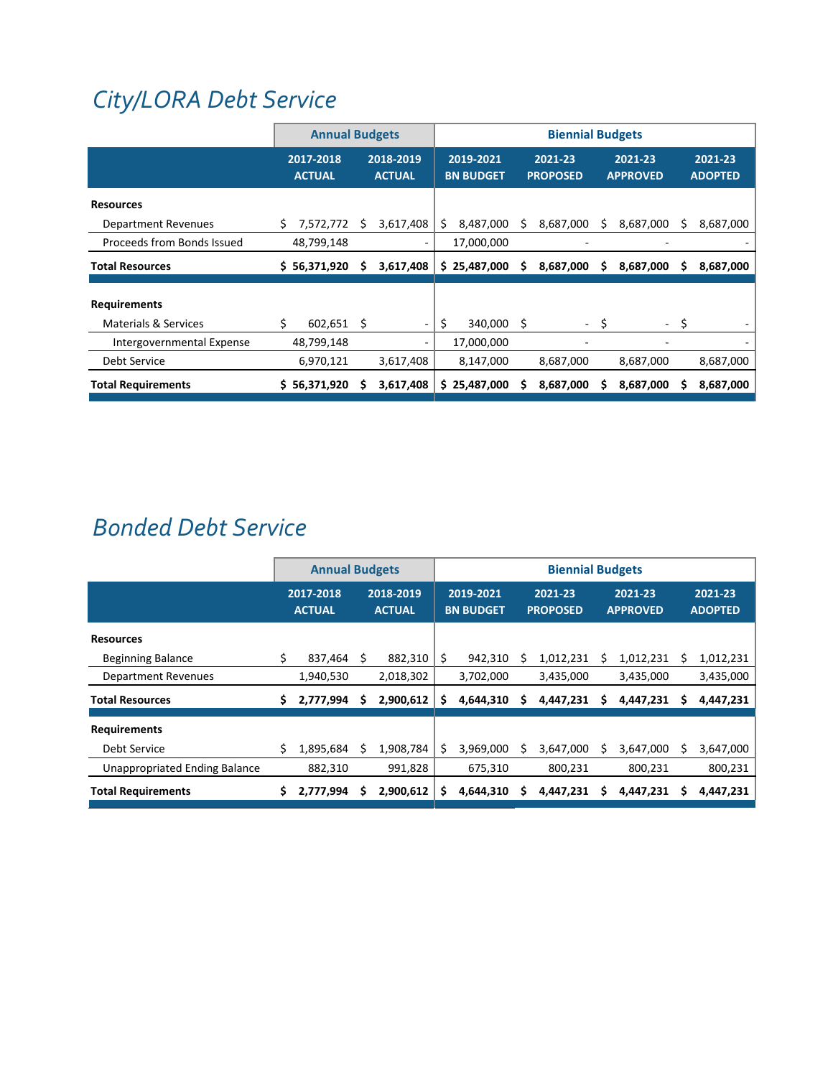# *[City/LORA](http://www.ci.oswego.or.us/lora/lake-grove-urban-renewal-plan) Debt Service*

|                                 |                            | <b>Annual Budgets</b> |   |                            |    |                               |   | <b>Biennial Budgets</b>    |      |                            |   |                           |
|---------------------------------|----------------------------|-----------------------|---|----------------------------|----|-------------------------------|---|----------------------------|------|----------------------------|---|---------------------------|
|                                 | 2017-2018<br><b>ACTUAL</b> |                       |   | 2018-2019<br><b>ACTUAL</b> |    | 2019-2021<br><b>BN BUDGET</b> |   | 2021-23<br><b>PROPOSED</b> |      | 2021-23<br><b>APPROVED</b> |   | 2021-23<br><b>ADOPTED</b> |
| <b>Resources</b>                |                            |                       |   |                            |    |                               |   |                            |      |                            |   |                           |
| Department Revenues             | \$.                        | 7,572,772             | s | 3,617,408                  | S. | 8,487,000                     | s | 8,687,000                  | s    | 8,687,000                  |   | 8,687,000                 |
| Proceeds from Bonds Issued      |                            | 48,799,148            |   |                            |    | 17,000,000                    |   |                            |      |                            |   |                           |
| <b>Total Resources</b>          |                            | \$56,371,920          | s | 3,617,408                  |    | \$25,487,000                  | s | 8,687,000                  | s    | 8,687,000                  | s | 8,687,000                 |
| <b>Requirements</b>             |                            |                       |   |                            |    |                               |   |                            |      |                            |   |                           |
| <b>Materials &amp; Services</b> | \$                         | $602,651$ \$          |   |                            | \$ | 340,000 \$                    |   |                            | - \$ | $\sim$ 10 $\pm$            | S |                           |
| Intergovernmental Expense       |                            | 48,799,148            |   |                            |    | 17,000,000                    |   |                            |      |                            |   |                           |
| <b>Debt Service</b>             |                            | 6,970,121             |   | 3,617,408                  |    | 8,147,000                     |   | 8,687,000                  |      | 8,687,000                  |   | 8,687,000                 |
| <b>Total Requirements</b>       |                            | \$56,371,920          |   | 3,617,408                  |    | \$25,487,000                  |   | 8,687,000                  |      | 8,687,000                  |   | 8,687,000                 |

## *[Bonded](http://www.ci.oswego.or.us/finance/municipal-bonds-and-continuing-disclosure) Debt Service*

|                                      |    | <b>Annual Budgets</b>      |   |                            | <b>Biennial Budgets</b> |                               |   |                            |   |                            |  |                           |
|--------------------------------------|----|----------------------------|---|----------------------------|-------------------------|-------------------------------|---|----------------------------|---|----------------------------|--|---------------------------|
|                                      |    | 2017-2018<br><b>ACTUAL</b> |   | 2018-2019<br><b>ACTUAL</b> |                         | 2019-2021<br><b>BN BUDGET</b> |   | 2021-23<br><b>PROPOSED</b> |   | 2021-23<br><b>APPROVED</b> |  | 2021-23<br><b>ADOPTED</b> |
| <b>Resources</b>                     |    |                            |   |                            |                         |                               |   |                            |   |                            |  |                           |
| <b>Beginning Balance</b>             | \$ | 837,464                    | S | 882,310                    | \$                      | 942,310                       |   | 1,012,231                  |   | 1,012,231                  |  | 1,012,231                 |
| <b>Department Revenues</b>           |    | 1,940,530                  |   | 2,018,302                  |                         | 3,702,000                     |   | 3,435,000                  |   | 3,435,000                  |  | 3,435,000                 |
| <b>Total Resources</b>               | \$ | 2,777,994                  |   | 2,900,612                  | S                       | 4,644,310                     | s | 4,447,231                  | S | 4,447,231                  |  | 4,447,231                 |
| <b>Requirements</b>                  |    |                            |   |                            |                         |                               |   |                            |   |                            |  |                           |
| Debt Service                         | S  | 1,895,684                  |   | 1,908,784                  | S                       | 3,969,000                     |   | 3,647,000                  |   | 3,647,000                  |  | 3,647,000                 |
| <b>Unappropriated Ending Balance</b> |    | 882,310                    |   | 991,828                    |                         | 675,310                       |   | 800,231                    |   | 800,231                    |  | 800,231                   |
| <b>Total Requirements</b>            |    | 2,777,994                  |   | 2,900,612                  | S                       | 4,644,310                     |   | 4,447,231                  |   | 4,447,231                  |  | 4,447,231                 |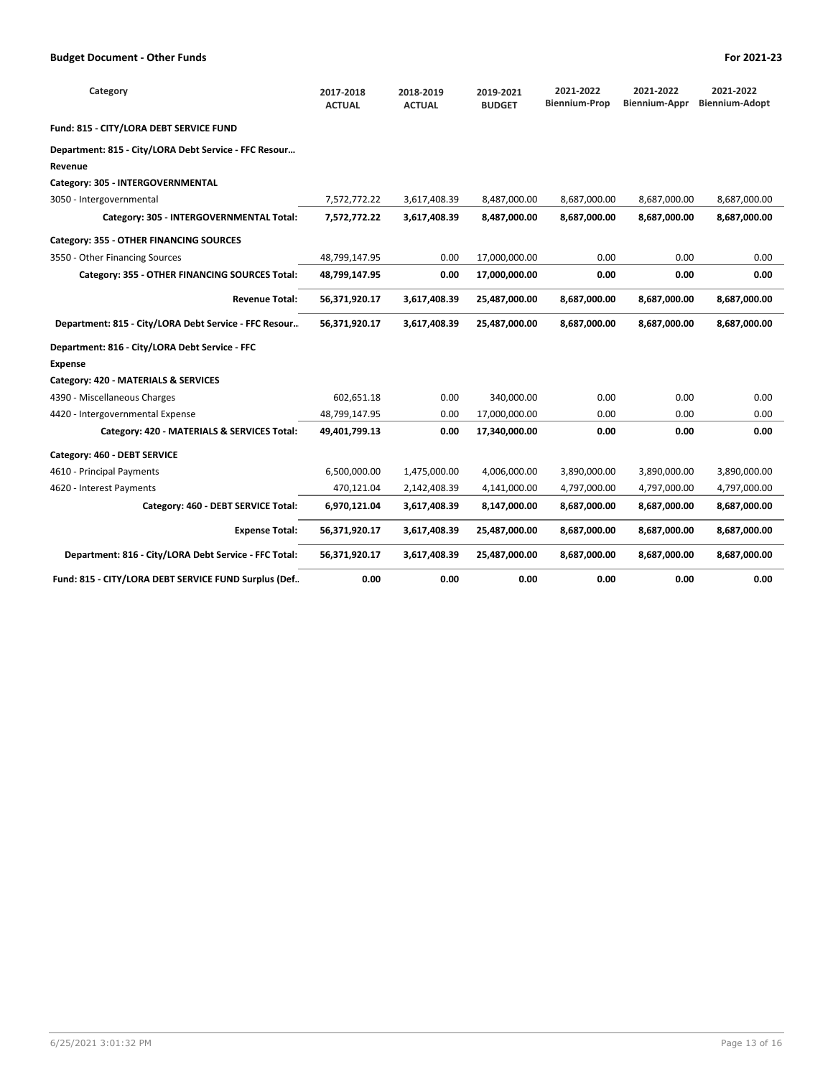| Category                                              | 2017-2018<br><b>ACTUAL</b> | 2018-2019<br><b>ACTUAL</b> | 2019-2021<br><b>BUDGET</b> | 2021-2022<br><b>Biennium-Prop</b> | 2021-2022<br>Biennium-Appr | 2021-2022<br><b>Biennium-Adopt</b> |
|-------------------------------------------------------|----------------------------|----------------------------|----------------------------|-----------------------------------|----------------------------|------------------------------------|
| Fund: 815 - CITY/LORA DEBT SERVICE FUND               |                            |                            |                            |                                   |                            |                                    |
| Department: 815 - City/LORA Debt Service - FFC Resour |                            |                            |                            |                                   |                            |                                    |
| Revenue                                               |                            |                            |                            |                                   |                            |                                    |
| Category: 305 - INTERGOVERNMENTAL                     |                            |                            |                            |                                   |                            |                                    |
| 3050 - Intergovernmental                              | 7,572,772.22               | 3,617,408.39               | 8,487,000.00               | 8,687,000.00                      | 8,687,000.00               | 8,687,000.00                       |
| Category: 305 - INTERGOVERNMENTAL Total:              | 7,572,772.22               | 3,617,408.39               | 8,487,000.00               | 8,687,000.00                      | 8,687,000.00               | 8,687,000.00                       |
| Category: 355 - OTHER FINANCING SOURCES               |                            |                            |                            |                                   |                            |                                    |
| 3550 - Other Financing Sources                        | 48,799,147.95              | 0.00                       | 17,000,000.00              | 0.00                              | 0.00                       | 0.00                               |
| Category: 355 - OTHER FINANCING SOURCES Total:        | 48,799,147.95              | 0.00                       | 17,000,000.00              | 0.00                              | 0.00                       | 0.00                               |
| <b>Revenue Total:</b>                                 | 56,371,920.17              | 3,617,408.39               | 25,487,000.00              | 8,687,000.00                      | 8,687,000.00               | 8,687,000.00                       |
| Department: 815 - City/LORA Debt Service - FFC Resour | 56,371,920.17              | 3,617,408.39               | 25,487,000.00              | 8,687,000.00                      | 8,687,000.00               | 8,687,000.00                       |
| Department: 816 - City/LORA Debt Service - FFC        |                            |                            |                            |                                   |                            |                                    |
| <b>Expense</b>                                        |                            |                            |                            |                                   |                            |                                    |
| Category: 420 - MATERIALS & SERVICES                  |                            |                            |                            |                                   |                            |                                    |
| 4390 - Miscellaneous Charges                          | 602,651.18                 | 0.00                       | 340,000.00                 | 0.00                              | 0.00                       | 0.00                               |
| 4420 - Intergovernmental Expense                      | 48,799,147.95              | 0.00                       | 17,000,000.00              | 0.00                              | 0.00                       | 0.00                               |
| Category: 420 - MATERIALS & SERVICES Total:           | 49,401,799.13              | 0.00                       | 17,340,000.00              | 0.00                              | 0.00                       | 0.00                               |
| Category: 460 - DEBT SERVICE                          |                            |                            |                            |                                   |                            |                                    |
| 4610 - Principal Payments                             | 6,500,000.00               | 1,475,000.00               | 4,006,000.00               | 3,890,000.00                      | 3,890,000.00               | 3,890,000.00                       |
| 4620 - Interest Payments                              | 470,121.04                 | 2,142,408.39               | 4,141,000.00               | 4,797,000.00                      | 4,797,000.00               | 4,797,000.00                       |
| Category: 460 - DEBT SERVICE Total:                   | 6,970,121.04               | 3,617,408.39               | 8,147,000.00               | 8,687,000.00                      | 8,687,000.00               | 8,687,000.00                       |
| <b>Expense Total:</b>                                 | 56,371,920.17              | 3,617,408.39               | 25,487,000.00              | 8,687,000.00                      | 8,687,000.00               | 8,687,000.00                       |
| Department: 816 - City/LORA Debt Service - FFC Total: | 56,371,920.17              | 3,617,408.39               | 25,487,000.00              | 8,687,000.00                      | 8,687,000.00               | 8,687,000.00                       |
| Fund: 815 - CITY/LORA DEBT SERVICE FUND Surplus (Def  | 0.00                       | 0.00                       | 0.00                       | 0.00                              | 0.00                       | 0.00                               |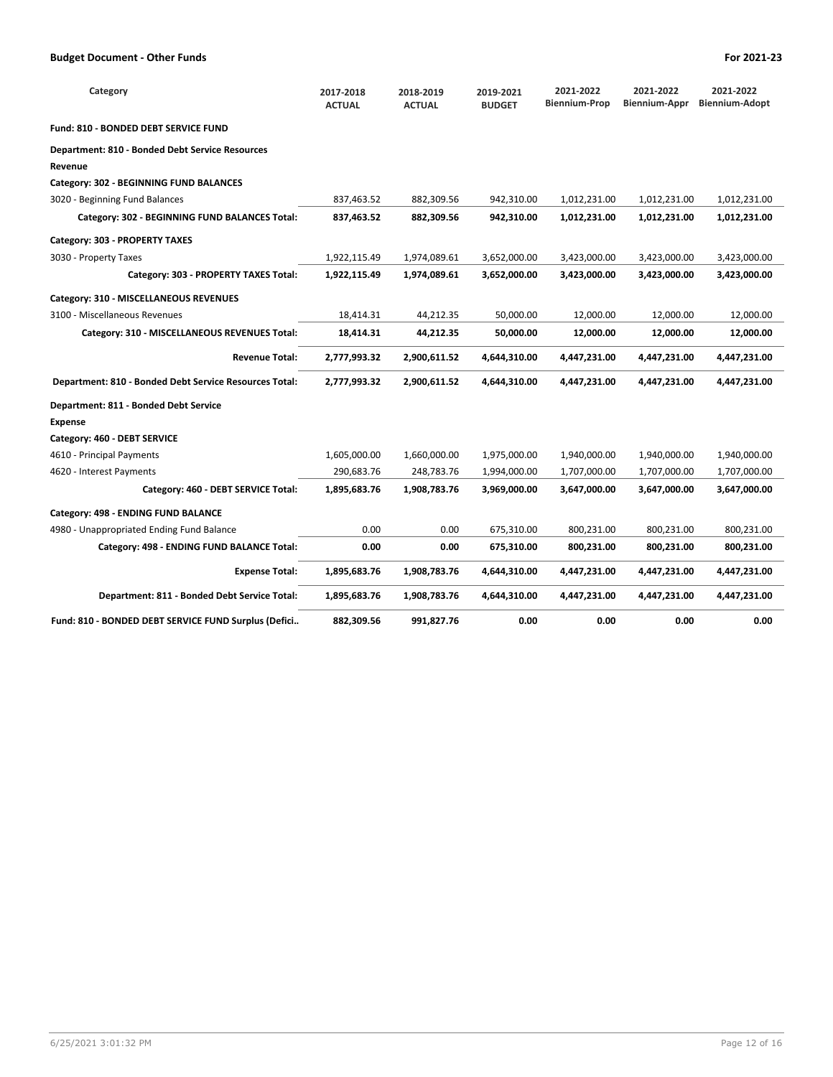| Category                                               | 2017-2018<br><b>ACTUAL</b> | 2018-2019<br><b>ACTUAL</b> | 2019-2021<br><b>BUDGET</b> | 2021-2022<br><b>Biennium-Prop</b> | 2021-2022<br><b>Biennium-Appr</b> | 2021-2022<br><b>Biennium-Adopt</b> |
|--------------------------------------------------------|----------------------------|----------------------------|----------------------------|-----------------------------------|-----------------------------------|------------------------------------|
| Fund: 810 - BONDED DEBT SERVICE FUND                   |                            |                            |                            |                                   |                                   |                                    |
| <b>Department: 810 - Bonded Debt Service Resources</b> |                            |                            |                            |                                   |                                   |                                    |
| Revenue                                                |                            |                            |                            |                                   |                                   |                                    |
| Category: 302 - BEGINNING FUND BALANCES                |                            |                            |                            |                                   |                                   |                                    |
| 3020 - Beginning Fund Balances                         | 837,463.52                 | 882,309.56                 | 942,310.00                 | 1,012,231.00                      | 1,012,231.00                      | 1,012,231.00                       |
| Category: 302 - BEGINNING FUND BALANCES Total:         | 837,463.52                 | 882,309.56                 | 942.310.00                 | 1,012,231.00                      | 1,012,231.00                      | 1,012,231.00                       |
| Category: 303 - PROPERTY TAXES                         |                            |                            |                            |                                   |                                   |                                    |
| 3030 - Property Taxes                                  | 1,922,115.49               | 1,974,089.61               | 3,652,000.00               | 3,423,000.00                      | 3,423,000.00                      | 3,423,000.00                       |
| Category: 303 - PROPERTY TAXES Total:                  | 1,922,115.49               | 1,974,089.61               | 3,652,000.00               | 3,423,000.00                      | 3,423,000.00                      | 3,423,000.00                       |
| Category: 310 - MISCELLANEOUS REVENUES                 |                            |                            |                            |                                   |                                   |                                    |
| 3100 - Miscellaneous Revenues                          | 18,414.31                  | 44,212.35                  | 50,000.00                  | 12,000.00                         | 12,000.00                         | 12,000.00                          |
| Category: 310 - MISCELLANEOUS REVENUES Total:          | 18,414.31                  | 44,212.35                  | 50,000.00                  | 12,000.00                         | 12,000.00                         | 12,000.00                          |
| <b>Revenue Total:</b>                                  | 2,777,993.32               | 2,900,611.52               | 4,644,310.00               | 4,447,231.00                      | 4,447,231.00                      | 4,447,231.00                       |
| Department: 810 - Bonded Debt Service Resources Total: | 2,777,993.32               | 2,900,611.52               | 4,644,310.00               | 4,447,231.00                      | 4,447,231.00                      | 4,447,231.00                       |
| Department: 811 - Bonded Debt Service                  |                            |                            |                            |                                   |                                   |                                    |
| <b>Expense</b>                                         |                            |                            |                            |                                   |                                   |                                    |
| Category: 460 - DEBT SERVICE                           |                            |                            |                            |                                   |                                   |                                    |
| 4610 - Principal Payments                              | 1,605,000.00               | 1,660,000.00               | 1,975,000.00               | 1,940,000.00                      | 1,940,000.00                      | 1,940,000.00                       |
| 4620 - Interest Payments                               | 290,683.76                 | 248,783.76                 | 1,994,000.00               | 1,707,000.00                      | 1,707,000.00                      | 1,707,000.00                       |
| Category: 460 - DEBT SERVICE Total:                    | 1,895,683.76               | 1,908,783.76               | 3,969,000.00               | 3,647,000.00                      | 3,647,000.00                      | 3,647,000.00                       |
| Category: 498 - ENDING FUND BALANCE                    |                            |                            |                            |                                   |                                   |                                    |
| 4980 - Unappropriated Ending Fund Balance              | 0.00                       | 0.00                       | 675,310.00                 | 800,231.00                        | 800,231.00                        | 800,231.00                         |
| Category: 498 - ENDING FUND BALANCE Total:             | 0.00                       | 0.00                       | 675,310.00                 | 800,231.00                        | 800,231.00                        | 800,231.00                         |
| <b>Expense Total:</b>                                  | 1,895,683.76               | 1,908,783.76               | 4,644,310.00               | 4,447,231.00                      | 4,447,231.00                      | 4,447,231.00                       |
| Department: 811 - Bonded Debt Service Total:           | 1,895,683.76               | 1,908,783.76               | 4,644,310.00               | 4,447,231.00                      | 4,447,231.00                      | 4,447,231.00                       |
| Fund: 810 - BONDED DEBT SERVICE FUND Surplus (Defici   | 882,309.56                 | 991,827.76                 | 0.00                       | 0.00                              | 0.00                              | 0.00                               |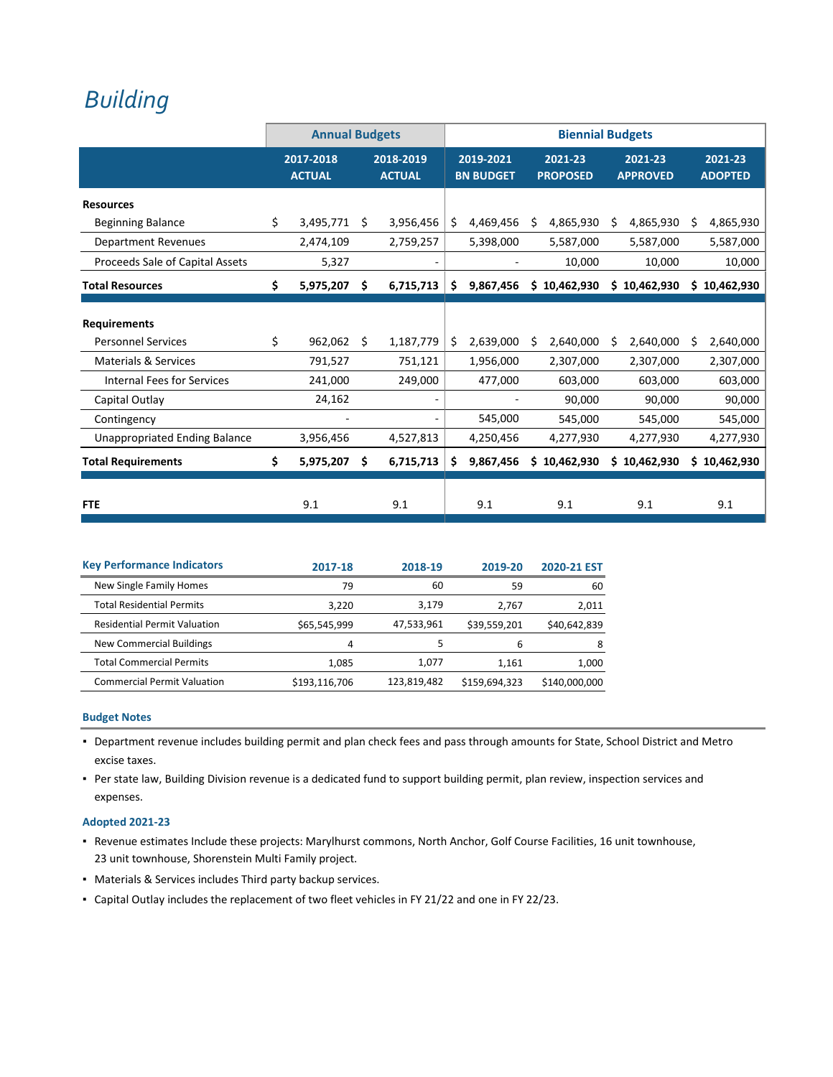## *[Building](http://www.ci.oswego.or.us/building/building-frequently-asked-questions)*

|                                      | <b>Annual Budgets</b>      |    |                            |    |                               |    | <b>Biennial Budgets</b>    |    |                            |   |                           |
|--------------------------------------|----------------------------|----|----------------------------|----|-------------------------------|----|----------------------------|----|----------------------------|---|---------------------------|
|                                      | 2017-2018<br><b>ACTUAL</b> |    | 2018-2019<br><b>ACTUAL</b> |    | 2019-2021<br><b>BN BUDGET</b> |    | 2021-23<br><b>PROPOSED</b> |    | 2021-23<br><b>APPROVED</b> |   | 2021-23<br><b>ADOPTED</b> |
| <b>Resources</b>                     |                            |    |                            |    |                               |    |                            |    |                            |   |                           |
| <b>Beginning Balance</b>             | \$<br>3,495,771            | Ś. | 3,956,456                  | \$ | 4,469,456                     | Ś  | 4,865,930                  | S  | 4,865,930                  | S | 4,865,930                 |
| <b>Department Revenues</b>           | 2,474,109                  |    | 2,759,257                  |    | 5,398,000                     |    | 5,587,000                  |    | 5,587,000                  |   | 5,587,000                 |
| Proceeds Sale of Capital Assets      | 5,327                      |    |                            |    |                               |    | 10,000                     |    | 10,000                     |   | 10,000                    |
| <b>Total Resources</b>               | \$<br>5,975,207            | Š. | 6,715,713                  | Ś. | 9,867,456                     | Ś  | 10,462,930                 |    | \$10,462,930               |   | \$10,462,930              |
|                                      |                            |    |                            |    |                               |    |                            |    |                            |   |                           |
| <b>Requirements</b>                  |                            |    |                            |    |                               |    |                            |    |                            |   |                           |
| <b>Personnel Services</b>            | \$<br>962,062              | Ś. | 1,187,779                  | Ŝ. | 2,639,000                     | Ŝ. | 2,640,000                  | Ŝ. | 2,640,000                  | S | 2,640,000                 |
| <b>Materials &amp; Services</b>      | 791,527                    |    | 751,121                    |    | 1,956,000                     |    | 2,307,000                  |    | 2,307,000                  |   | 2,307,000                 |
| <b>Internal Fees for Services</b>    | 241,000                    |    | 249,000                    |    | 477,000                       |    | 603,000                    |    | 603,000                    |   | 603,000                   |
| Capital Outlay                       | 24,162                     |    |                            |    |                               |    | 90,000                     |    | 90,000                     |   | 90,000                    |
| Contingency                          |                            |    |                            |    | 545,000                       |    | 545,000                    |    | 545,000                    |   | 545,000                   |
| <b>Unappropriated Ending Balance</b> | 3,956,456                  |    | 4,527,813                  |    | 4,250,456                     |    | 4,277,930                  |    | 4,277,930                  |   | 4,277,930                 |
| <b>Total Requirements</b>            | \$<br>5,975,207            | S  | 6,715,713                  | S. | 9,867,456                     | S  | 10,462,930                 |    | \$10,462,930               |   | \$10,462,930              |
| <b>FTE</b>                           | 9.1                        |    | 9.1                        |    | 9.1                           |    | 9.1                        |    | 9.1                        |   | 9.1                       |

| <b>Key Performance Indicators</b>   | 2017-18       | 2018-19     | 2019-20       | 2020-21 EST   |
|-------------------------------------|---------------|-------------|---------------|---------------|
| New Single Family Homes             | 79            | 60          | 59            | 60            |
| <b>Total Residential Permits</b>    | 3,220         | 3.179       | 2.767         | 2,011         |
| <b>Residential Permit Valuation</b> | \$65,545,999  | 47,533,961  | \$39,559,201  | \$40,642,839  |
| New Commercial Buildings            | 4             |             | 6             | 8             |
| <b>Total Commercial Permits</b>     | 1,085         | 1.077       | 1.161         | 1,000         |
| <b>Commercial Permit Valuation</b>  | \$193,116,706 | 123,819,482 | \$159,694,323 | \$140,000,000 |

### **Budget Notes**

- Department revenue includes building permit and plan check fees and pass through amounts for State, School District and Metro excise taxes.
- Per state law, Building Division revenue is a dedicated fund to support building permit, plan review, inspection services and expenses.

#### **Adopted 2021‐23**

- Revenue estimates Include these projects: Marylhurst commons, North Anchor, Golf Course Facilities, 16 unit townhouse, 23 unit townhouse, Shorenstein Multi Family project.
- Materials & Services includes Third party backup services.
- Capital Outlay includes the replacement of two fleet vehicles in FY 21/22 and one in FY 22/23.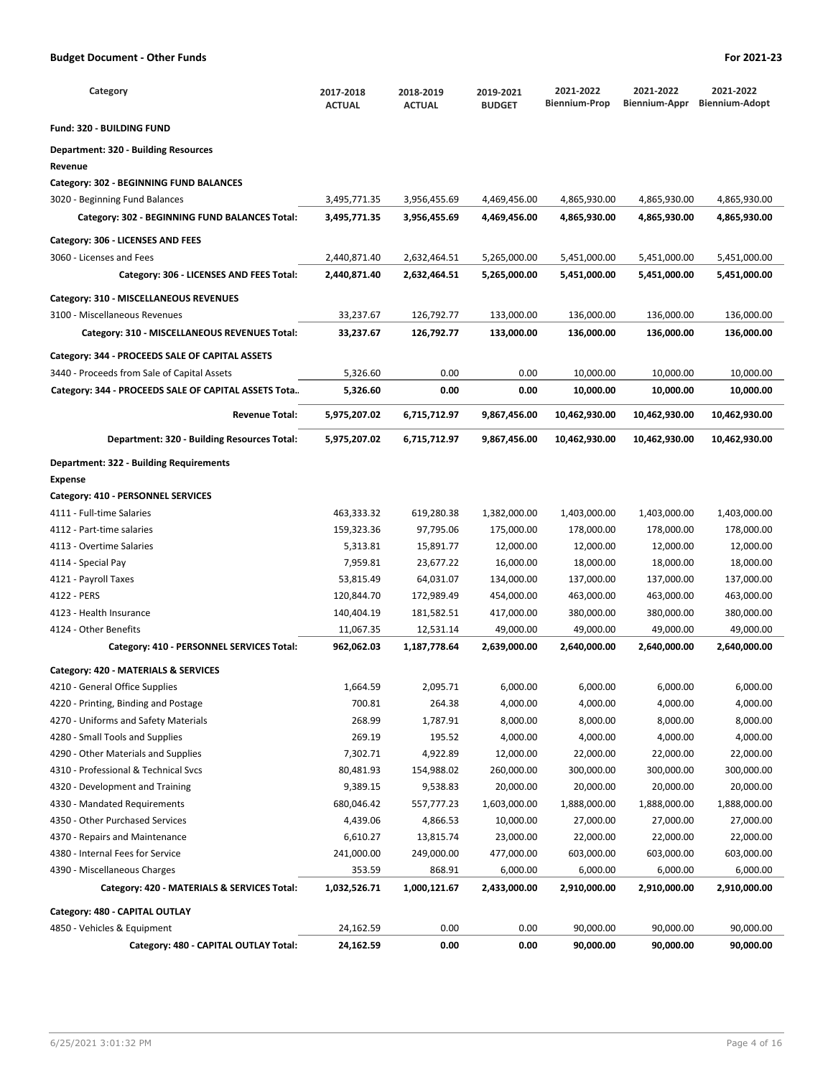| Category                      | 2017-2018<br><b>ACTUAL</b> | 2018-2019<br><b>ACTUAL</b> | 2019-2021<br><b>BUDGET</b> | 2021-2022<br>Biennium-Prop | 2021-2022<br><b>Biennium-Appr</b> | 2021-2022<br><b>Biennium-Adopt</b> |
|-------------------------------|----------------------------|----------------------------|----------------------------|----------------------------|-----------------------------------|------------------------------------|
| ) - BUILDING FUND             |                            |                            |                            |                            |                                   |                                    |
| ent: 320 - Building Resources |                            |                            |                            |                            |                                   |                                    |
|                               |                            |                            |                            |                            |                                   |                                    |

## **Department: 320 - Building Resources**

**Fund: 320 - BUILDING FUND**

## **Revenue**

### **Category: 302 - BEGINNING FUND BALANCES**

| 3020 - Beginning Fund Balances                       | 3,495,771.35 | 3,956,455.69 | 4,469,456.00 | 4,865,930.00  | 4,865,930.00  | 4,865,930.00  |
|------------------------------------------------------|--------------|--------------|--------------|---------------|---------------|---------------|
| Category: 302 - BEGINNING FUND BALANCES Total:       | 3,495,771.35 | 3,956,455.69 | 4,469,456.00 | 4,865,930.00  | 4,865,930.00  | 4,865,930.00  |
| Category: 306 - LICENSES AND FEES                    |              |              |              |               |               |               |
| 3060 - Licenses and Fees                             | 2,440,871.40 | 2,632,464.51 | 5,265,000.00 | 5,451,000.00  | 5,451,000.00  | 5,451,000.00  |
| Category: 306 - LICENSES AND FEES Total:             | 2,440,871.40 | 2,632,464.51 | 5,265,000.00 | 5,451,000.00  | 5,451,000.00  | 5,451,000.00  |
| Category: 310 - MISCELLANEOUS REVENUES               |              |              |              |               |               |               |
| 3100 - Miscellaneous Revenues                        | 33,237.67    | 126,792.77   | 133,000.00   | 136,000.00    | 136,000.00    | 136,000.00    |
| Category: 310 - MISCELLANEOUS REVENUES Total:        | 33,237.67    | 126,792.77   | 133,000.00   | 136,000.00    | 136,000.00    | 136,000.00    |
| Category: 344 - PROCEEDS SALE OF CAPITAL ASSETS      |              |              |              |               |               |               |
| 3440 - Proceeds from Sale of Capital Assets          | 5,326.60     | 0.00         | 0.00         | 10,000.00     | 10,000.00     | 10,000.00     |
| Category: 344 - PROCEEDS SALE OF CAPITAL ASSETS Tota | 5,326.60     | 0.00         | 0.00         | 10,000.00     | 10,000.00     | 10,000.00     |
| <b>Revenue Total:</b>                                | 5,975,207.02 | 6,715,712.97 | 9,867,456.00 | 10,462,930.00 | 10,462,930.00 | 10,462,930.00 |
| Department: 320 - Building Resources Total:          | 5,975,207.02 | 6,715,712.97 | 9,867,456.00 | 10,462,930.00 | 10,462,930.00 | 10,462,930.00 |
| <b>Department: 322 - Building Requirements</b>       |              |              |              |               |               |               |
| <b>Expense</b>                                       |              |              |              |               |               |               |
| Category: 410 - PERSONNEL SERVICES                   |              |              |              |               |               |               |
| 4111 - Full-time Salaries                            | 463,333.32   | 619,280.38   | 1,382,000.00 | 1,403,000.00  | 1,403,000.00  | 1,403,000.00  |
| 4112 - Part-time salaries                            | 159,323.36   | 97,795.06    | 175,000.00   | 178,000.00    | 178,000.00    | 178,000.00    |
| 4113 - Overtime Salaries                             | 5,313.81     | 15,891.77    | 12,000.00    | 12,000.00     | 12,000.00     | 12,000.00     |
| 4114 - Special Pay                                   | 7,959.81     | 23,677.22    | 16,000.00    | 18,000.00     | 18,000.00     | 18,000.00     |
| 4121 - Payroll Taxes                                 | 53,815.49    | 64,031.07    | 134,000.00   | 137,000.00    | 137,000.00    | 137,000.00    |
| 4122 - PERS                                          | 120,844.70   | 172,989.49   | 454,000.00   | 463,000.00    | 463,000.00    | 463,000.00    |
| 4123 - Health Insurance                              | 140,404.19   | 181,582.51   | 417,000.00   | 380,000.00    | 380,000.00    | 380,000.00    |
| 4124 - Other Benefits                                | 11,067.35    | 12,531.14    | 49,000.00    | 49,000.00     | 49,000.00     | 49,000.00     |
| Category: 410 - PERSONNEL SERVICES Total:            | 962,062.03   | 1,187,778.64 | 2,639,000.00 | 2,640,000.00  | 2,640,000.00  | 2,640,000.00  |
| Category: 420 - MATERIALS & SERVICES                 |              |              |              |               |               |               |
| 4210 - General Office Supplies                       | 1,664.59     | 2,095.71     | 6,000.00     | 6,000.00      | 6,000.00      | 6,000.00      |
| 4220 - Printing, Binding and Postage                 | 700.81       | 264.38       | 4,000.00     | 4,000.00      | 4,000.00      | 4,000.00      |
| 4270 - Uniforms and Safety Materials                 | 268.99       | 1,787.91     | 8,000.00     | 8,000.00      | 8,000.00      | 8,000.00      |
| 4280 - Small Tools and Supplies                      | 269.19       | 195.52       | 4,000.00     | 4,000.00      | 4,000.00      | 4,000.00      |
| 4290 - Other Materials and Supplies                  | 7,302.71     | 4,922.89     | 12,000.00    | 22,000.00     | 22,000.00     | 22,000.00     |
| 4310 - Professional & Technical Svcs                 | 80,481.93    | 154,988.02   | 260,000.00   | 300,000.00    | 300,000.00    | 300,000.00    |
| 4320 - Development and Training                      | 9,389.15     | 9,538.83     | 20,000.00    | 20,000.00     | 20,000.00     | 20,000.00     |
| 4330 - Mandated Requirements                         | 680,046.42   | 557,777.23   | 1,603,000.00 | 1,888,000.00  | 1,888,000.00  | 1,888,000.00  |
| 4350 - Other Purchased Services                      | 4,439.06     | 4,866.53     | 10,000.00    | 27,000.00     | 27,000.00     | 27,000.00     |
| 4370 - Repairs and Maintenance                       | 6,610.27     | 13,815.74    | 23,000.00    | 22,000.00     | 22,000.00     | 22,000.00     |
| 4380 - Internal Fees for Service                     | 241,000.00   | 249,000.00   | 477,000.00   | 603,000.00    | 603,000.00    | 603,000.00    |
| 4390 - Miscellaneous Charges                         | 353.59       | 868.91       | 6,000.00     | 6,000.00      | 6,000.00      | 6,000.00      |
| Category: 420 - MATERIALS & SERVICES Total:          | 1,032,526.71 | 1,000,121.67 | 2,433,000.00 | 2,910,000.00  | 2,910,000.00  | 2,910,000.00  |
| Category: 480 - CAPITAL OUTLAY                       |              |              |              |               |               |               |
| 4850 - Vehicles & Equipment                          | 24,162.59    | 0.00         | 0.00         | 90,000.00     | 90,000.00     | 90,000.00     |
| Category: 480 - CAPITAL OUTLAY Total:                | 24,162.59    | 0.00         | 0.00         | 90,000.00     | 90,000.00     | 90,000.00     |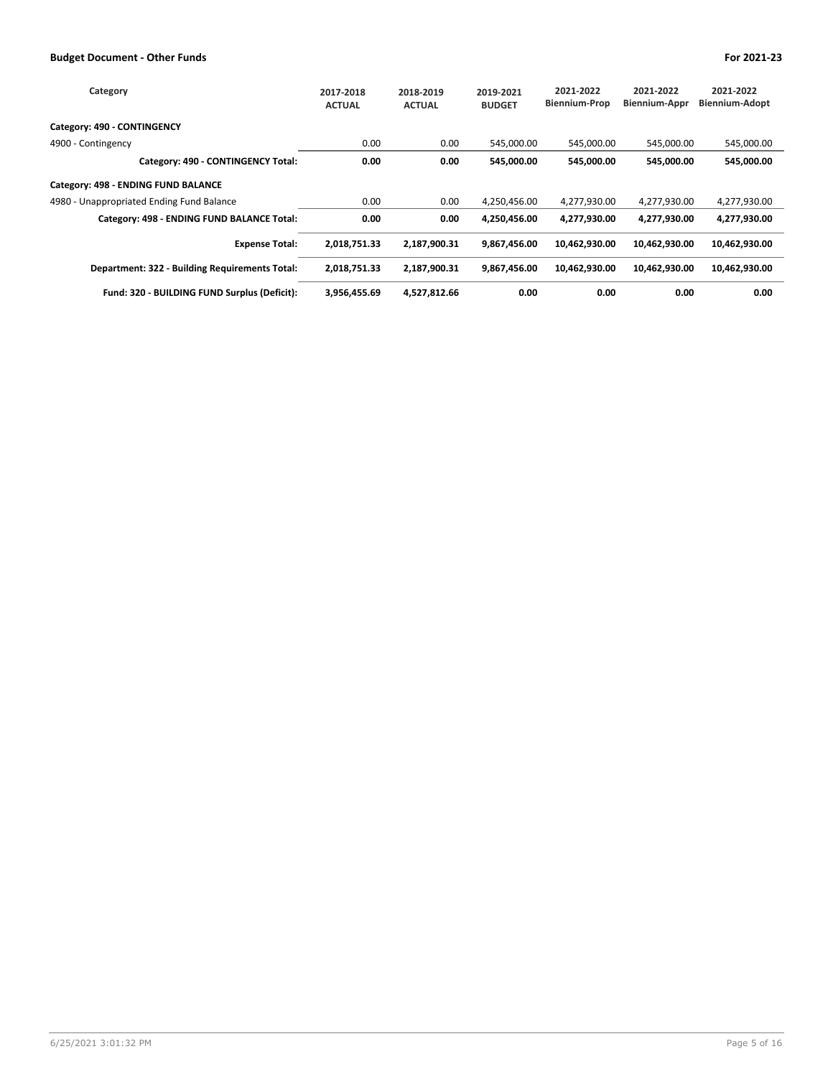| Category                                       | 2017-2018<br><b>ACTUAL</b> | 2018-2019<br><b>ACTUAL</b> | 2019-2021<br><b>BUDGET</b> | 2021-2022<br><b>Biennium-Prop</b> | 2021-2022<br><b>Biennium-Appr</b> | 2021-2022<br>Biennium-Adopt |
|------------------------------------------------|----------------------------|----------------------------|----------------------------|-----------------------------------|-----------------------------------|-----------------------------|
| Category: 490 - CONTINGENCY                    |                            |                            |                            |                                   |                                   |                             |
| 4900 - Contingency                             | 0.00                       | 0.00                       | 545,000.00                 | 545.000.00                        | 545.000.00                        | 545,000.00                  |
| Category: 490 - CONTINGENCY Total:             | 0.00                       | 0.00                       | 545,000.00                 | 545,000.00                        | 545,000.00                        | 545,000.00                  |
| Category: 498 - ENDING FUND BALANCE            |                            |                            |                            |                                   |                                   |                             |
| 4980 - Unappropriated Ending Fund Balance      | 0.00                       | 0.00                       | 4,250,456.00               | 4,277,930.00                      | 4,277,930.00                      | 4,277,930.00                |
| Category: 498 - ENDING FUND BALANCE Total:     | 0.00                       | 0.00                       | 4,250,456.00               | 4,277,930.00                      | 4,277,930.00                      | 4,277,930.00                |
| <b>Expense Total:</b>                          | 2,018,751.33               | 2,187,900.31               | 9,867,456.00               | 10,462,930.00                     | 10,462,930.00                     | 10,462,930.00               |
| Department: 322 - Building Requirements Total: | 2,018,751.33               | 2,187,900.31               | 9,867,456.00               | 10,462,930.00                     | 10,462,930.00                     | 10,462,930.00               |
| Fund: 320 - BUILDING FUND Surplus (Deficit):   | 3,956,455.69               | 4,527,812.66               | 0.00                       | 0.00                              | 0.00                              | 0.00                        |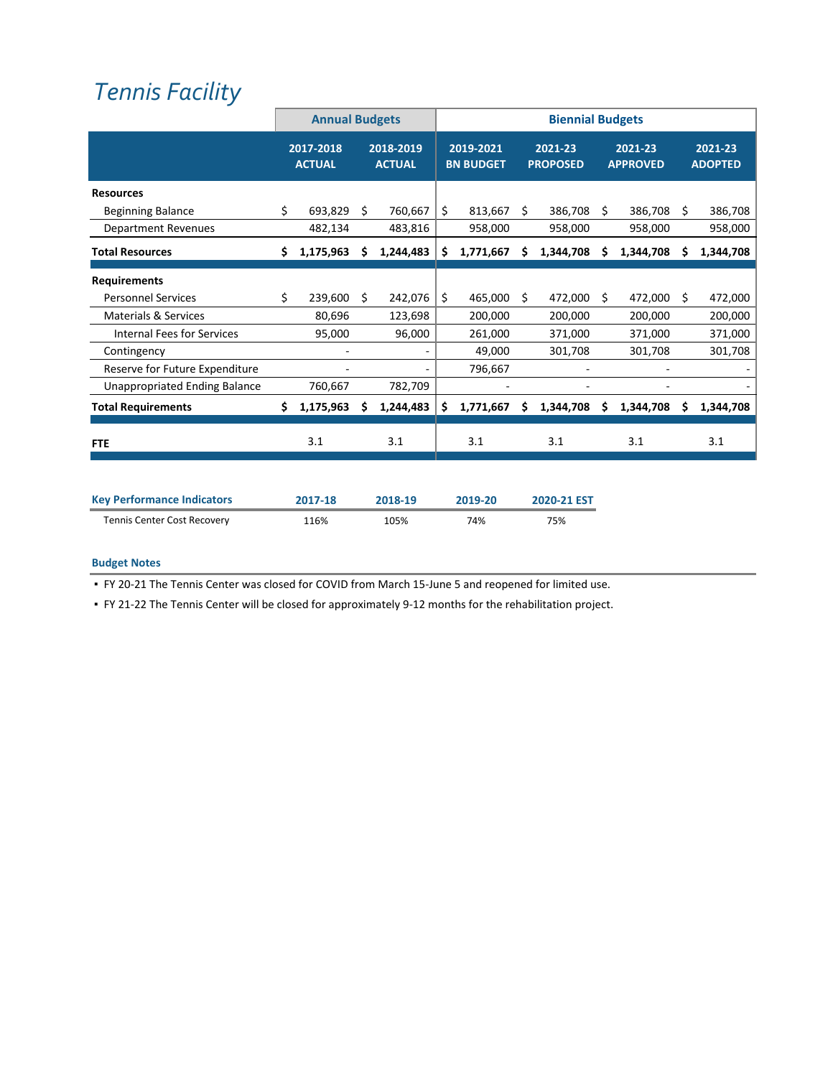# *Tennis [Facility](http://www.ci.oswego.or.us/parksrec/indoor-tennis-center)*

|                                      |    | <b>Annual Budgets</b>      |                            |           | <b>Biennial Budgets</b> |                               |    |                            |      |                            |     |                           |
|--------------------------------------|----|----------------------------|----------------------------|-----------|-------------------------|-------------------------------|----|----------------------------|------|----------------------------|-----|---------------------------|
|                                      |    | 2017-2018<br><b>ACTUAL</b> | 2018-2019<br><b>ACTUAL</b> |           |                         | 2019-2021<br><b>BN BUDGET</b> |    | 2021-23<br><b>PROPOSED</b> |      | 2021-23<br><b>APPROVED</b> |     | 2021-23<br><b>ADOPTED</b> |
| <b>Resources</b>                     |    |                            |                            |           |                         |                               |    |                            |      |                            |     |                           |
| <b>Beginning Balance</b>             | Ś. | 693,829                    | Ŝ.                         | 760,667   | Ś.                      | 813,667                       | Ś. | 386,708                    | - Ś  | 386,708                    | - Ś | 386,708                   |
| <b>Department Revenues</b>           |    | 482,134                    |                            | 483,816   |                         | 958,000                       |    | 958,000                    |      | 958,000                    |     | 958,000                   |
| <b>Total Resources</b>               | \$ | 1,175,963                  | S                          | 1,244,483 | \$                      | 1,771,667                     | s  | 1,344,708                  | S.   | 1,344,708                  | S.  | 1,344,708                 |
| <b>Requirements</b>                  |    |                            |                            |           |                         |                               |    |                            |      |                            |     |                           |
| <b>Personnel Services</b>            | \$ | 239,600                    | Ś.                         | 242,076   | Ś.                      | 465,000                       | Ŝ. | 472,000                    | - \$ | 472,000                    | S.  | 472,000                   |
| <b>Materials &amp; Services</b>      |    | 80,696                     |                            | 123,698   |                         | 200,000                       |    | 200,000                    |      | 200,000                    |     | 200,000                   |
| <b>Internal Fees for Services</b>    |    | 95,000                     |                            | 96,000    |                         | 261,000                       |    | 371,000                    |      | 371,000                    |     | 371,000                   |
| Contingency                          |    |                            |                            |           |                         | 49,000                        |    | 301,708                    |      | 301,708                    |     | 301,708                   |
| Reserve for Future Expenditure       |    |                            |                            |           |                         | 796,667                       |    |                            |      |                            |     |                           |
| <b>Unappropriated Ending Balance</b> |    | 760,667                    |                            | 782,709   |                         |                               |    |                            |      |                            |     |                           |
| <b>Total Requirements</b>            | Ś. | 1,175,963                  | s                          | 1,244,483 | Ś.                      | 1,771,667                     |    | 1,344,708                  |      | 1,344,708                  |     | 1,344,708                 |
| <b>FTE</b>                           |    | 3.1                        |                            | 3.1       |                         | 3.1                           |    | 3.1                        |      | 3.1                        |     | 3.1                       |

| <b>Key Performance Indicators</b> | 2017-18 | 2018-19 | 2019-20 | 2020-21 EST |
|-----------------------------------|---------|---------|---------|-------------|
| Tennis Center Cost Recovery       | 116%    | 105%    | 74%     | 75%         |

## **Budget Notes**

■ FY 20-21 The Tennis Center was closed for COVID from March 15-June 5 and reopened for limited use.

▪ FY 21‐22 The Tennis Center will be closed for approximately 9‐12 months for the rehabilitation project.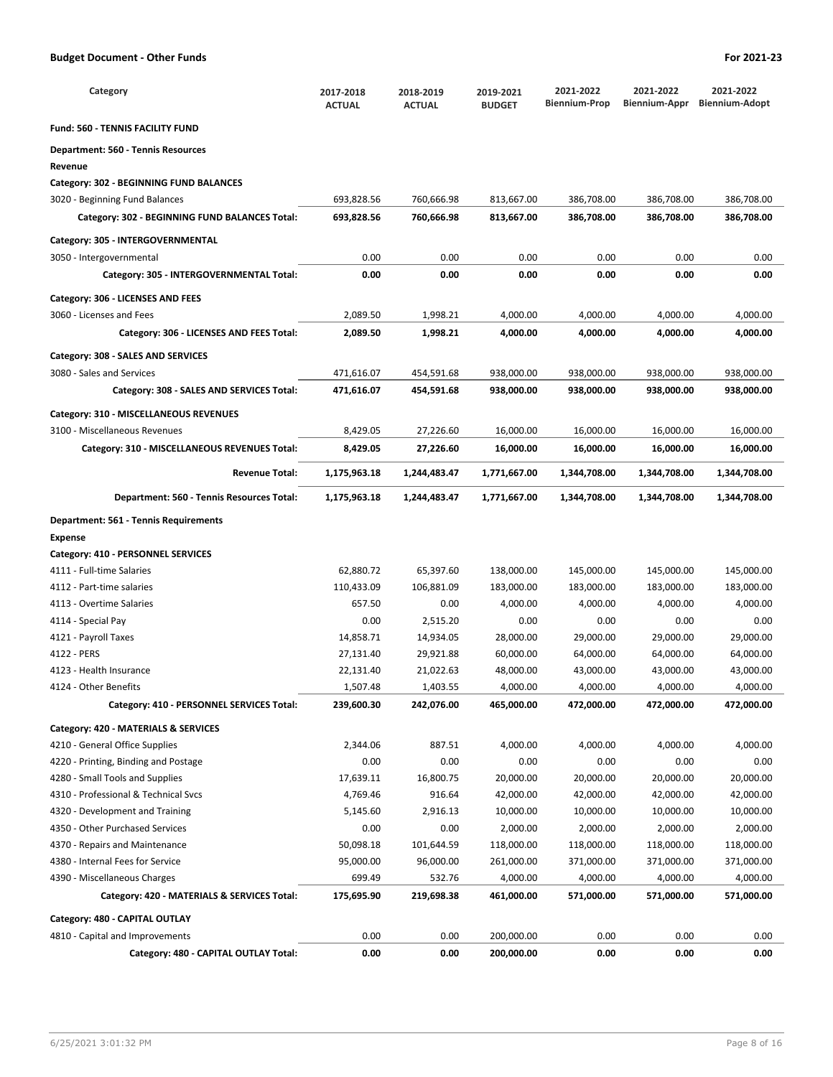| Category                                       | 2017-2018<br><b>ACTUAL</b> | 2018-2019<br><b>ACTUAL</b> | 2019-2021<br><b>BUDGET</b> | 2021-2022<br><b>Biennium-Prop</b> | 2021-2022<br>Biennium-Appr | 2021-2022<br><b>Biennium-Adopt</b> |
|------------------------------------------------|----------------------------|----------------------------|----------------------------|-----------------------------------|----------------------------|------------------------------------|
| <b>Fund: 560 - TENNIS FACILITY FUND</b>        |                            |                            |                            |                                   |                            |                                    |
| Department: 560 - Tennis Resources             |                            |                            |                            |                                   |                            |                                    |
| Revenue                                        |                            |                            |                            |                                   |                            |                                    |
| Category: 302 - BEGINNING FUND BALANCES        |                            |                            |                            |                                   |                            |                                    |
| 3020 - Beginning Fund Balances                 | 693,828.56                 | 760,666.98                 | 813,667.00                 | 386,708.00                        | 386,708.00                 | 386,708.00                         |
| Category: 302 - BEGINNING FUND BALANCES Total: | 693,828.56                 | 760,666.98                 | 813,667.00                 | 386,708.00                        | 386,708.00                 | 386,708.00                         |
| Category: 305 - INTERGOVERNMENTAL              |                            |                            |                            |                                   |                            |                                    |
| 3050 - Intergovernmental                       | 0.00                       | 0.00                       | 0.00                       | 0.00                              | 0.00                       | 0.00                               |
| Category: 305 - INTERGOVERNMENTAL Total:       | 0.00                       | 0.00                       | 0.00                       | 0.00                              | 0.00                       | 0.00                               |
|                                                |                            |                            |                            |                                   |                            |                                    |
| Category: 306 - LICENSES AND FEES              |                            |                            |                            |                                   |                            |                                    |
| 3060 - Licenses and Fees                       | 2,089.50                   | 1,998.21                   | 4,000.00                   | 4,000.00                          | 4,000.00                   | 4,000.00                           |
| Category: 306 - LICENSES AND FEES Total:       | 2,089.50                   | 1,998.21                   | 4,000.00                   | 4,000.00                          | 4,000.00                   | 4,000.00                           |
| Category: 308 - SALES AND SERVICES             |                            |                            |                            |                                   |                            |                                    |
| 3080 - Sales and Services                      | 471,616.07                 | 454,591.68                 | 938,000.00                 | 938,000.00                        | 938,000.00                 | 938,000.00                         |
| Category: 308 - SALES AND SERVICES Total:      | 471,616.07                 | 454,591.68                 | 938,000.00                 | 938,000.00                        | 938,000.00                 | 938,000.00                         |
|                                                |                            |                            |                            |                                   |                            |                                    |
| Category: 310 - MISCELLANEOUS REVENUES         |                            |                            |                            |                                   |                            |                                    |
| 3100 - Miscellaneous Revenues                  | 8,429.05                   | 27,226.60                  | 16,000.00                  | 16,000.00                         | 16,000.00                  | 16,000.00                          |
| Category: 310 - MISCELLANEOUS REVENUES Total:  | 8,429.05                   | 27,226.60                  | 16,000.00                  | 16,000.00                         | 16,000.00                  | 16,000.00                          |
| <b>Revenue Total:</b>                          | 1,175,963.18               | 1,244,483.47               | 1,771,667.00               | 1,344,708.00                      | 1,344,708.00               | 1,344,708.00                       |
| Department: 560 - Tennis Resources Total:      | 1,175,963.18               | 1,244,483.47               | 1,771,667.00               | 1,344,708.00                      | 1,344,708.00               | 1,344,708.00                       |
| <b>Department: 561 - Tennis Requirements</b>   |                            |                            |                            |                                   |                            |                                    |
| <b>Expense</b>                                 |                            |                            |                            |                                   |                            |                                    |
| Category: 410 - PERSONNEL SERVICES             |                            |                            |                            |                                   |                            |                                    |
| 4111 - Full-time Salaries                      | 62,880.72                  | 65,397.60                  | 138,000.00                 | 145,000.00                        | 145,000.00                 | 145,000.00                         |
| 4112 - Part-time salaries                      | 110,433.09                 | 106,881.09                 | 183,000.00                 | 183,000.00                        | 183,000.00                 | 183,000.00                         |
| 4113 - Overtime Salaries                       | 657.50                     | 0.00                       | 4,000.00                   | 4,000.00                          | 4,000.00                   | 4,000.00                           |
| 4114 - Special Pay                             | 0.00                       | 2,515.20                   | 0.00                       | 0.00                              | 0.00                       | 0.00                               |
| 4121 - Payroll Taxes                           | 14,858.71                  | 14,934.05                  | 28,000.00                  | 29,000.00                         | 29,000.00                  | 29,000.00                          |
| 4122 - PERS                                    | 27,131.40                  | 29,921.88                  | 60,000.00                  | 64,000.00                         | 64,000.00                  | 64,000.00                          |
| 4123 - Health Insurance                        | 22,131.40                  | 21,022.63                  | 48,000.00                  | 43,000.00                         | 43,000.00                  | 43,000.00                          |
| 4124 - Other Benefits                          | 1,507.48                   | 1,403.55                   | 4,000.00                   | 4,000.00                          | 4,000.00                   | 4,000.00                           |
| Category: 410 - PERSONNEL SERVICES Total:      | 239,600.30                 | 242,076.00                 | 465,000.00                 | 472,000.00                        | 472,000.00                 | 472,000.00                         |
| Category: 420 - MATERIALS & SERVICES           |                            |                            |                            |                                   |                            |                                    |
| 4210 - General Office Supplies                 | 2,344.06                   | 887.51                     | 4,000.00                   | 4,000.00                          | 4,000.00                   | 4,000.00                           |
| 4220 - Printing, Binding and Postage           | 0.00                       | 0.00                       | 0.00                       | 0.00                              | 0.00                       | 0.00                               |
| 4280 - Small Tools and Supplies                | 17,639.11                  | 16,800.75                  | 20,000.00                  | 20,000.00                         | 20,000.00                  | 20,000.00                          |
| 4310 - Professional & Technical Svcs           | 4,769.46                   | 916.64                     | 42,000.00                  | 42,000.00                         | 42,000.00                  | 42,000.00                          |
| 4320 - Development and Training                | 5,145.60                   | 2,916.13                   | 10,000.00                  | 10,000.00                         | 10,000.00                  | 10,000.00                          |
| 4350 - Other Purchased Services                | 0.00                       | 0.00                       | 2,000.00                   | 2,000.00                          | 2,000.00                   | 2,000.00                           |
| 4370 - Repairs and Maintenance                 | 50,098.18                  | 101,644.59                 | 118,000.00                 | 118,000.00                        | 118,000.00                 | 118,000.00                         |
| 4380 - Internal Fees for Service               | 95,000.00                  | 96,000.00                  | 261,000.00                 | 371,000.00                        | 371,000.00                 | 371,000.00                         |
| 4390 - Miscellaneous Charges                   | 699.49                     | 532.76                     | 4,000.00                   | 4,000.00                          | 4,000.00                   | 4,000.00                           |
| Category: 420 - MATERIALS & SERVICES Total:    | 175,695.90                 | 219,698.38                 | 461,000.00                 | 571,000.00                        | 571,000.00                 | 571,000.00                         |
| Category: 480 - CAPITAL OUTLAY                 |                            |                            |                            |                                   |                            |                                    |
|                                                |                            |                            |                            |                                   |                            |                                    |
| 4810 - Capital and Improvements                | 0.00                       | 0.00                       | 200,000.00                 | 0.00                              | 0.00                       | 0.00                               |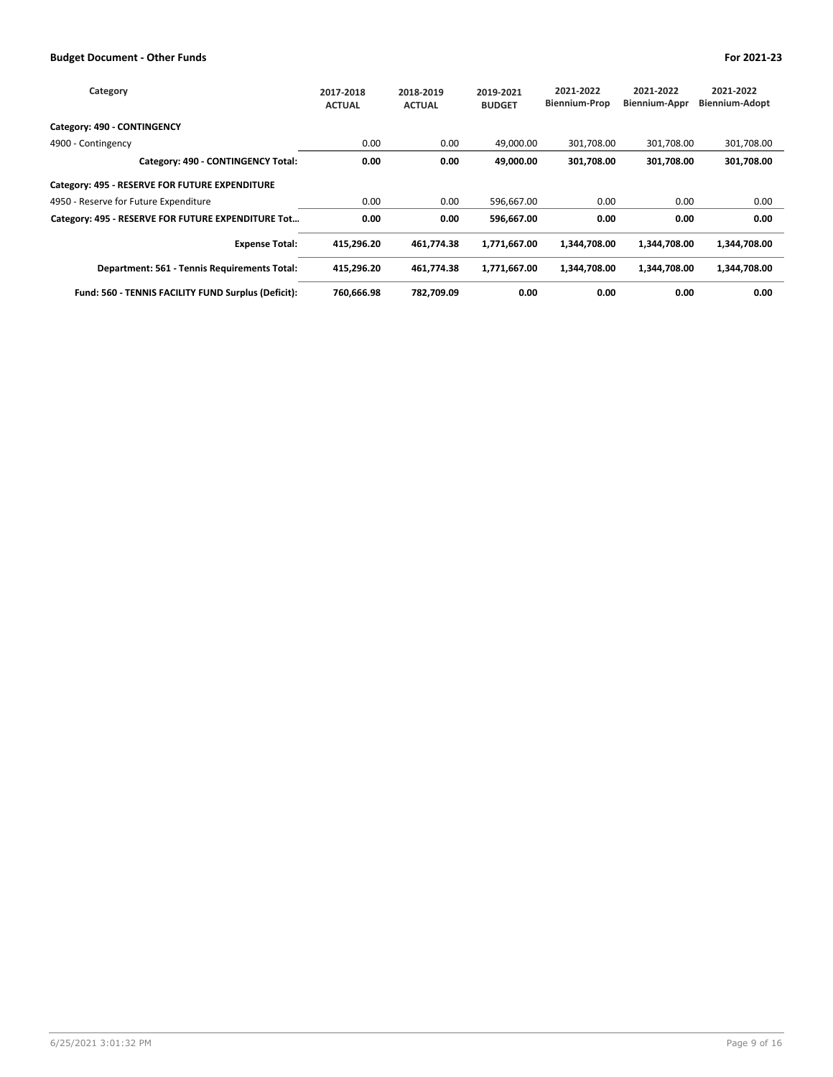| Category                                            | 2017-2018<br><b>ACTUAL</b> | 2018-2019<br><b>ACTUAL</b> | 2019-2021<br><b>BUDGET</b> | 2021-2022<br><b>Biennium-Prop</b> | 2021-2022<br><b>Biennium-Appr</b> | 2021-2022<br><b>Biennium-Adopt</b> |
|-----------------------------------------------------|----------------------------|----------------------------|----------------------------|-----------------------------------|-----------------------------------|------------------------------------|
| Category: 490 - CONTINGENCY                         |                            |                            |                            |                                   |                                   |                                    |
| 4900 - Contingency                                  | 0.00                       | 0.00                       | 49.000.00                  | 301.708.00                        | 301.708.00                        | 301,708.00                         |
| Category: 490 - CONTINGENCY Total:                  | 0.00                       | 0.00                       | 49,000.00                  | 301,708.00                        | 301,708.00                        | 301,708.00                         |
| Category: 495 - RESERVE FOR FUTURE EXPENDITURE      |                            |                            |                            |                                   |                                   |                                    |
| 4950 - Reserve for Future Expenditure               | 0.00                       | 0.00                       | 596,667.00                 | 0.00                              | 0.00                              | 0.00                               |
| Category: 495 - RESERVE FOR FUTURE EXPENDITURE Tot  | 0.00                       | 0.00                       | 596,667.00                 | 0.00                              | 0.00                              | 0.00                               |
| <b>Expense Total:</b>                               | 415,296.20                 | 461.774.38                 | 1,771,667.00               | 1.344.708.00                      | 1,344,708.00                      | 1,344,708.00                       |
| Department: 561 - Tennis Requirements Total:        | 415,296.20                 | 461,774.38                 | 1,771,667.00               | 1,344,708.00                      | 1,344,708.00                      | 1,344,708.00                       |
| Fund: 560 - TENNIS FACILITY FUND Surplus (Deficit): | 760.666.98                 | 782.709.09                 | 0.00                       | 0.00                              | 0.00                              | 0.00                               |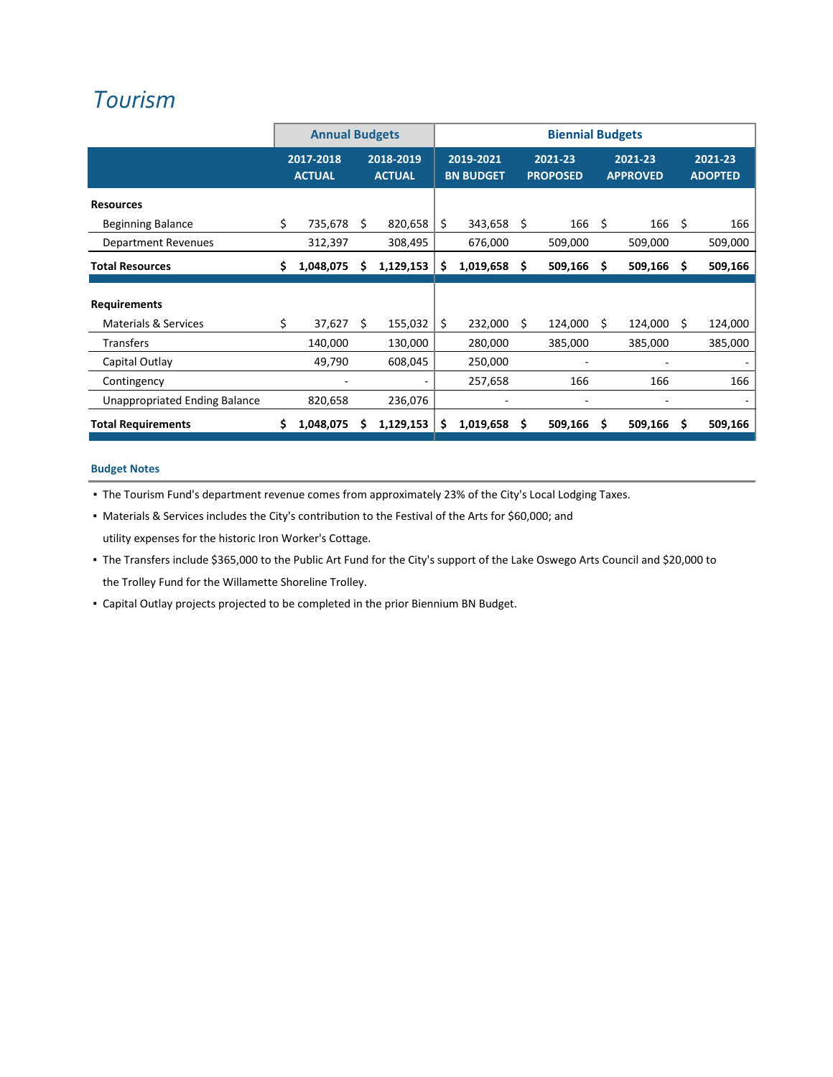## *[Tourism](http://www.ci.oswego.or.us/boc_tac)*

|                                 | <b>Annual Budgets</b> |                            |   | <b>Biennial Budgets</b>    |    |                               |   |                            |    |                            |   |                           |
|---------------------------------|-----------------------|----------------------------|---|----------------------------|----|-------------------------------|---|----------------------------|----|----------------------------|---|---------------------------|
|                                 |                       | 2017-2018<br><b>ACTUAL</b> |   | 2018-2019<br><b>ACTUAL</b> |    | 2019-2021<br><b>BN BUDGET</b> |   | 2021-23<br><b>PROPOSED</b> |    | 2021-23<br><b>APPROVED</b> |   | 2021-23<br><b>ADOPTED</b> |
| <b>Resources</b>                |                       |                            |   |                            |    |                               |   |                            |    |                            |   |                           |
| <b>Beginning Balance</b>        | \$                    | 735,678 \$                 |   | 820,658                    | \$ | 343,658 \$                    |   | 166 <sup>5</sup>           |    | 166 <sup>5</sup>           |   | 166                       |
| <b>Department Revenues</b>      |                       | 312,397                    |   | 308,495                    |    | 676,000                       |   | 509,000                    |    | 509,000                    |   | 509,000                   |
| <b>Total Resources</b>          | s                     | 1,048,075                  | s | 1,129,153                  | \$ | 1,019,658                     | S | 509,166                    | \$ | 509,166                    | S | 509,166                   |
| <b>Requirements</b>             |                       |                            |   |                            |    |                               |   |                            |    |                            |   |                           |
| <b>Materials &amp; Services</b> | \$                    | $37,627$ \$                |   | 155,032                    | \$ | 232,000 \$                    |   | 124,000 \$                 |    | 124,000 \$                 |   | 124,000                   |
| <b>Transfers</b>                |                       | 140,000                    |   | 130,000                    |    | 280,000                       |   | 385,000                    |    | 385,000                    |   | 385,000                   |
| Capital Outlay                  |                       | 49,790                     |   | 608,045                    |    | 250,000                       |   |                            |    |                            |   |                           |
| Contingency                     |                       |                            |   |                            |    | 257,658                       |   | 166                        |    | 166                        |   | 166                       |
| Unappropriated Ending Balance   |                       | 820,658                    |   | 236,076                    |    |                               |   |                            |    |                            |   |                           |
| <b>Total Requirements</b>       |                       | 1,048,075                  | s | 1,129,153                  | \$ | 1,019,658                     | s | 509,166                    | S  | 509,166                    | s | 509,166                   |

### **Budget Notes**

▪ The Tourism Fund's department revenue comes from approximately 23% of the City's Local Lodging Taxes.

▪ Materials & Services includes the City's contribution to the Festival of the Arts for \$60,000; and

utility expenses for the historic Iron Worker's Cottage.

- The Transfers include \$365,000 to the Public Art Fund for the City's support of the Lake Oswego Arts Council and \$20,000 to the Trolley Fund for the Willamette Shoreline Trolley.
- Capital Outlay projects projected to be completed in the prior Biennium BN Budget.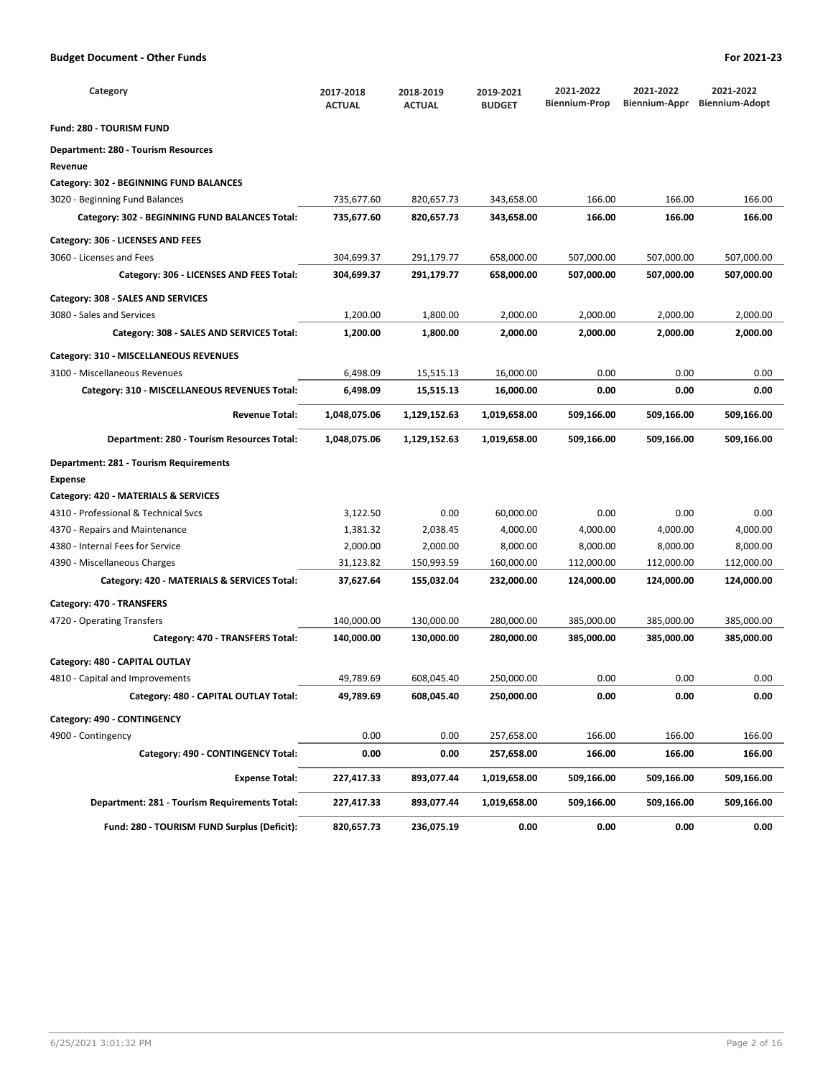| Category                                       | 2017-2018<br><b>ACTUAL</b> | 2018-2019<br><b>ACTUAL</b> | 2019-2021<br><b>BUDGET</b> | 2021-2022<br><b>Biennium-Prop</b> | 2021-2022<br>Biennium-Appr | 2021-2022<br><b>Biennium-Adopt</b> |
|------------------------------------------------|----------------------------|----------------------------|----------------------------|-----------------------------------|----------------------------|------------------------------------|
| <b>Fund: 280 - TOURISM FUND</b>                |                            |                            |                            |                                   |                            |                                    |
| Department: 280 - Tourism Resources            |                            |                            |                            |                                   |                            |                                    |
| Revenue                                        |                            |                            |                            |                                   |                            |                                    |
| Category: 302 - BEGINNING FUND BALANCES        |                            |                            |                            |                                   |                            |                                    |
| 3020 - Beginning Fund Balances                 | 735,677.60                 | 820,657.73                 | 343,658.00                 | 166.00                            | 166.00                     | 166.00                             |
| Category: 302 - BEGINNING FUND BALANCES Total: | 735,677.60                 | 820,657.73                 | 343,658.00                 | 166.00                            | 166.00                     | 166.00                             |
| Category: 306 - LICENSES AND FEES              |                            |                            |                            |                                   |                            |                                    |
| 3060 - Licenses and Fees                       | 304,699.37                 | 291,179.77                 | 658,000.00                 | 507,000.00                        | 507,000.00                 | 507,000.00                         |
| Category: 306 - LICENSES AND FEES Total:       | 304,699.37                 | 291,179.77                 | 658,000.00                 | 507,000.00                        | 507,000.00                 | 507,000.00                         |
| Category: 308 - SALES AND SERVICES             |                            |                            |                            |                                   |                            |                                    |
| 3080 - Sales and Services                      | 1,200.00                   | 1,800.00                   | 2,000.00                   | 2,000.00                          | 2,000.00                   | 2,000.00                           |
| Category: 308 - SALES AND SERVICES Total:      | 1,200.00                   | 1,800.00                   | 2,000.00                   | 2,000.00                          | 2,000.00                   | 2,000.00                           |
| Category: 310 - MISCELLANEOUS REVENUES         |                            |                            |                            |                                   |                            |                                    |
| 3100 - Miscellaneous Revenues                  | 6,498.09                   | 15,515.13                  | 16,000.00                  | 0.00                              | 0.00                       | 0.00                               |
| Category: 310 - MISCELLANEOUS REVENUES Total:  | 6,498.09                   | 15,515.13                  | 16,000.00                  | 0.00                              | 0.00                       | 0.00                               |
| <b>Revenue Total:</b>                          | 1,048,075.06               | 1,129,152.63               | 1,019,658.00               | 509,166.00                        | 509,166.00                 | 509,166.00                         |
| Department: 280 - Tourism Resources Total:     | 1,048,075.06               | 1,129,152.63               | 1,019,658.00               | 509,166.00                        | 509,166.00                 | 509,166.00                         |
| Department: 281 - Tourism Requirements         |                            |                            |                            |                                   |                            |                                    |
| <b>Expense</b>                                 |                            |                            |                            |                                   |                            |                                    |
| Category: 420 - MATERIALS & SERVICES           |                            |                            |                            |                                   |                            |                                    |
| 4310 - Professional & Technical Svcs           | 3,122.50                   | 0.00                       | 60,000.00                  | 0.00                              | 0.00                       | 0.00                               |
| 4370 - Repairs and Maintenance                 | 1,381.32                   | 2,038.45                   | 4,000.00                   | 4,000.00                          | 4,000.00                   | 4,000.00                           |
| 4380 - Internal Fees for Service               | 2,000.00                   | 2,000.00                   | 8,000.00                   | 8,000.00                          | 8,000.00                   | 8,000.00                           |
| 4390 - Miscellaneous Charges                   | 31,123.82                  | 150,993.59                 | 160,000.00                 | 112,000.00                        | 112,000.00                 | 112,000.00                         |
| Category: 420 - MATERIALS & SERVICES Total:    | 37,627.64                  | 155,032.04                 | 232,000.00                 | 124,000.00                        | 124,000.00                 | 124,000.00                         |
| Category: 470 - TRANSFERS                      |                            |                            |                            |                                   |                            |                                    |
| 4720 - Operating Transfers                     | 140,000.00                 | 130,000.00                 | 280,000.00                 | 385,000.00                        | 385,000.00                 | 385,000.00                         |
| Category: 470 - TRANSFERS Total:               | 140,000.00                 | 130,000.00                 | 280,000.00                 | 385,000.00                        | 385,000.00                 | 385,000.00                         |
| Category: 480 - CAPITAL OUTLAY                 |                            |                            |                            |                                   |                            |                                    |
| 4810 - Capital and Improvements                | 49,789.69                  | 608,045.40                 | 250,000.00                 | 0.00                              | 0.00                       | 0.00                               |
| Category: 480 - CAPITAL OUTLAY Total:          | 49,789.69                  | 608,045.40                 | 250,000.00                 | 0.00                              | 0.00                       | 0.00                               |
| Category: 490 - CONTINGENCY                    |                            |                            |                            |                                   |                            |                                    |
| 4900 - Contingency                             | 0.00                       | 0.00                       | 257,658.00                 | 166.00                            | 166.00                     | 166.00                             |
| Category: 490 - CONTINGENCY Total:             | 0.00                       | 0.00                       | 257,658.00                 | 166.00                            | 166.00                     | 166.00                             |
| <b>Expense Total:</b>                          | 227,417.33                 | 893,077.44                 | 1,019,658.00               | 509,166.00                        | 509,166.00                 | 509,166.00                         |
| Department: 281 - Tourism Requirements Total:  | 227,417.33                 | 893,077.44                 | 1,019,658.00               | 509,166.00                        | 509,166.00                 | 509,166.00                         |
| Fund: 280 - TOURISM FUND Surplus (Deficit):    | 820,657.73                 | 236,075.19                 | 0.00                       | 0.00                              | 0.00                       | 0.00                               |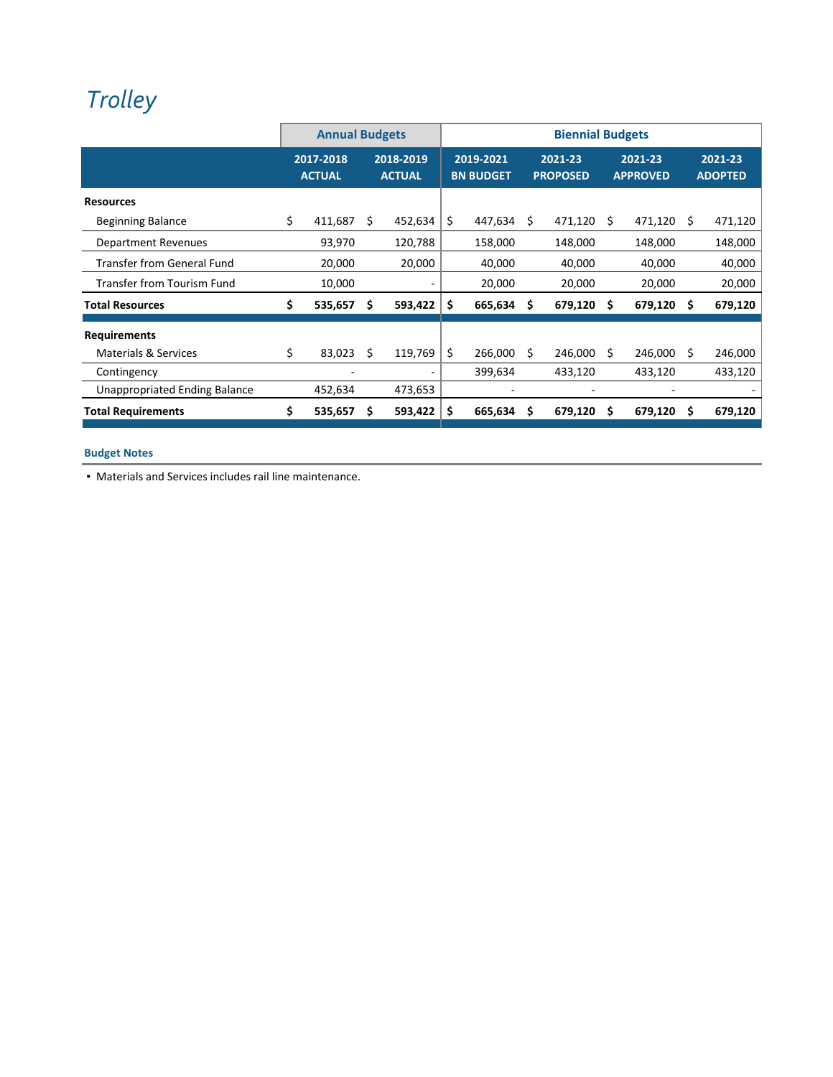# *[Trolley](http://www.ci.oswego.or.us/community/willamette-shore-trolley)*

|                                      | <b>Annual Budgets</b> |                            |    |                            | <b>Biennial Budgets</b> |                               |   |                            |    |                            |    |                           |
|--------------------------------------|-----------------------|----------------------------|----|----------------------------|-------------------------|-------------------------------|---|----------------------------|----|----------------------------|----|---------------------------|
|                                      |                       | 2017-2018<br><b>ACTUAL</b> |    | 2018-2019<br><b>ACTUAL</b> |                         | 2019-2021<br><b>BN BUDGET</b> |   | 2021-23<br><b>PROPOSED</b> |    | 2021-23<br><b>APPROVED</b> |    | 2021-23<br><b>ADOPTED</b> |
| <b>Resources</b>                     |                       |                            |    |                            |                         |                               |   |                            |    |                            |    |                           |
| <b>Beginning Balance</b>             | \$                    | 411,687                    | Ŝ. | 452,634                    | S                       | 447,634                       | S | 471,120                    | Ŝ. | 471,120 \$                 |    | 471,120                   |
| Department Revenues                  |                       | 93,970                     |    | 120,788                    |                         | 158,000                       |   | 148,000                    |    | 148,000                    |    | 148,000                   |
| <b>Transfer from General Fund</b>    |                       | 20,000                     |    | 20,000                     |                         | 40,000                        |   | 40,000                     |    | 40,000                     |    | 40,000                    |
| Transfer from Tourism Fund           |                       | 10,000                     |    |                            |                         | 20,000                        |   | 20,000                     |    | 20,000                     |    | 20,000                    |
| <b>Total Resources</b>               | \$                    | 535,657                    | Ŝ. | 593,422                    | S                       | 665,634                       | s | 679,120                    | S  | 679,120                    | -S | 679,120                   |
| <b>Requirements</b>                  |                       |                            |    |                            |                         |                               |   |                            |    |                            |    |                           |
| <b>Materials &amp; Services</b>      | \$                    | 83,023                     | S  | 119,769                    | \$                      | 266,000                       | S | 246,000                    | S  | 246,000                    | S  | 246,000                   |
| Contingency                          |                       |                            |    |                            |                         | 399,634                       |   | 433,120                    |    | 433,120                    |    | 433,120                   |
| <b>Unappropriated Ending Balance</b> |                       | 452,634                    |    | 473,653                    |                         |                               |   |                            |    |                            |    |                           |
| <b>Total Requirements</b>            | \$                    | 535,657                    | S  | 593,422                    | S                       | 665,634                       | s | 679,120                    | S  | 679,120                    | S  | 679,120                   |

## **Budget Notes**

▪ Materials and Services includes rail line maintenance.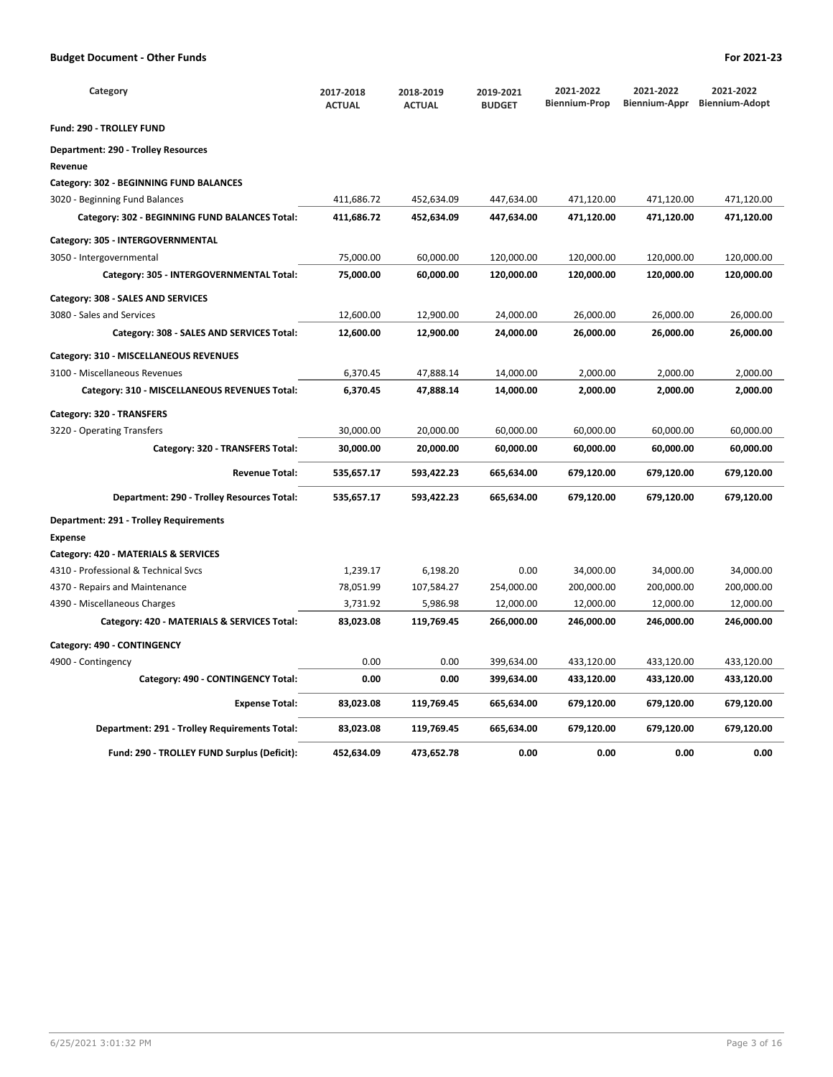| Category                                       | 2017-2018<br><b>ACTUAL</b> | 2018-2019<br><b>ACTUAL</b> | 2019-2021<br><b>BUDGET</b> | 2021-2022<br><b>Biennium-Prop</b> | 2021-2022<br>Biennium-Appr | 2021-2022<br><b>Biennium-Adopt</b> |
|------------------------------------------------|----------------------------|----------------------------|----------------------------|-----------------------------------|----------------------------|------------------------------------|
| <b>Fund: 290 - TROLLEY FUND</b>                |                            |                            |                            |                                   |                            |                                    |
| <b>Department: 290 - Trolley Resources</b>     |                            |                            |                            |                                   |                            |                                    |
| Revenue                                        |                            |                            |                            |                                   |                            |                                    |
| Category: 302 - BEGINNING FUND BALANCES        |                            |                            |                            |                                   |                            |                                    |
| 3020 - Beginning Fund Balances                 | 411,686.72                 | 452,634.09                 | 447,634.00                 | 471,120.00                        | 471,120.00                 | 471,120.00                         |
| Category: 302 - BEGINNING FUND BALANCES Total: | 411,686.72                 | 452,634.09                 | 447,634.00                 | 471,120.00                        | 471,120.00                 | 471,120.00                         |
| Category: 305 - INTERGOVERNMENTAL              |                            |                            |                            |                                   |                            |                                    |
| 3050 - Intergovernmental                       | 75,000.00                  | 60,000.00                  | 120,000.00                 | 120,000.00                        | 120,000.00                 | 120,000.00                         |
| Category: 305 - INTERGOVERNMENTAL Total:       | 75,000.00                  | 60,000.00                  | 120,000.00                 | 120,000.00                        | 120,000.00                 | 120,000.00                         |
| Category: 308 - SALES AND SERVICES             |                            |                            |                            |                                   |                            |                                    |
| 3080 - Sales and Services                      | 12,600.00                  | 12,900.00                  | 24,000.00                  | 26,000.00                         | 26,000.00                  | 26,000.00                          |
| Category: 308 - SALES AND SERVICES Total:      | 12,600.00                  | 12,900.00                  | 24,000.00                  | 26,000.00                         | 26,000.00                  | 26,000.00                          |
| Category: 310 - MISCELLANEOUS REVENUES         |                            |                            |                            |                                   |                            |                                    |
| 3100 - Miscellaneous Revenues                  | 6,370.45                   | 47,888.14                  | 14,000.00                  | 2,000.00                          | 2,000.00                   | 2,000.00                           |
| Category: 310 - MISCELLANEOUS REVENUES Total:  | 6,370.45                   | 47,888.14                  | 14,000.00                  | 2,000.00                          | 2,000.00                   | 2,000.00                           |
| Category: 320 - TRANSFERS                      |                            |                            |                            |                                   |                            |                                    |
| 3220 - Operating Transfers                     | 30,000.00                  | 20,000.00                  | 60,000.00                  | 60,000.00                         | 60,000.00                  | 60,000.00                          |
| Category: 320 - TRANSFERS Total:               | 30,000.00                  | 20,000.00                  | 60,000.00                  | 60,000.00                         | 60,000.00                  | 60,000.00                          |
| <b>Revenue Total:</b>                          | 535,657.17                 | 593,422.23                 | 665,634.00                 | 679,120.00                        | 679,120.00                 | 679,120.00                         |
| Department: 290 - Trolley Resources Total:     | 535,657.17                 | 593,422.23                 | 665,634.00                 | 679,120.00                        | 679,120.00                 | 679,120.00                         |
| Department: 291 - Trolley Requirements         |                            |                            |                            |                                   |                            |                                    |
| <b>Expense</b>                                 |                            |                            |                            |                                   |                            |                                    |
| Category: 420 - MATERIALS & SERVICES           |                            |                            |                            |                                   |                            |                                    |
| 4310 - Professional & Technical Svcs           | 1,239.17                   | 6,198.20                   | 0.00                       | 34,000.00                         | 34,000.00                  | 34,000.00                          |
| 4370 - Repairs and Maintenance                 | 78,051.99                  | 107,584.27                 | 254,000.00                 | 200,000.00                        | 200,000.00                 | 200,000.00                         |
| 4390 - Miscellaneous Charges                   | 3,731.92                   | 5,986.98                   | 12,000.00                  | 12,000.00                         | 12,000.00                  | 12,000.00                          |
| Category: 420 - MATERIALS & SERVICES Total:    | 83,023.08                  | 119,769.45                 | 266,000.00                 | 246,000.00                        | 246,000.00                 | 246,000.00                         |
| Category: 490 - CONTINGENCY                    |                            |                            |                            |                                   |                            |                                    |
| 4900 - Contingency                             | 0.00                       | 0.00                       | 399,634.00                 | 433,120.00                        | 433,120.00                 | 433,120.00                         |
| Category: 490 - CONTINGENCY Total:             | 0.00                       | 0.00                       | 399,634.00                 | 433,120.00                        | 433,120.00                 | 433,120.00                         |
| <b>Expense Total:</b>                          | 83,023.08                  | 119,769.45                 | 665,634.00                 | 679,120.00                        | 679,120.00                 | 679,120.00                         |
| Department: 291 - Trolley Requirements Total:  | 83,023.08                  | 119,769.45                 | 665,634.00                 | 679,120.00                        | 679,120.00                 | 679,120.00                         |
| Fund: 290 - TROLLEY FUND Surplus (Deficit):    | 452,634.09                 | 473,652.78                 | 0.00                       | 0.00                              | 0.00                       | 0.00                               |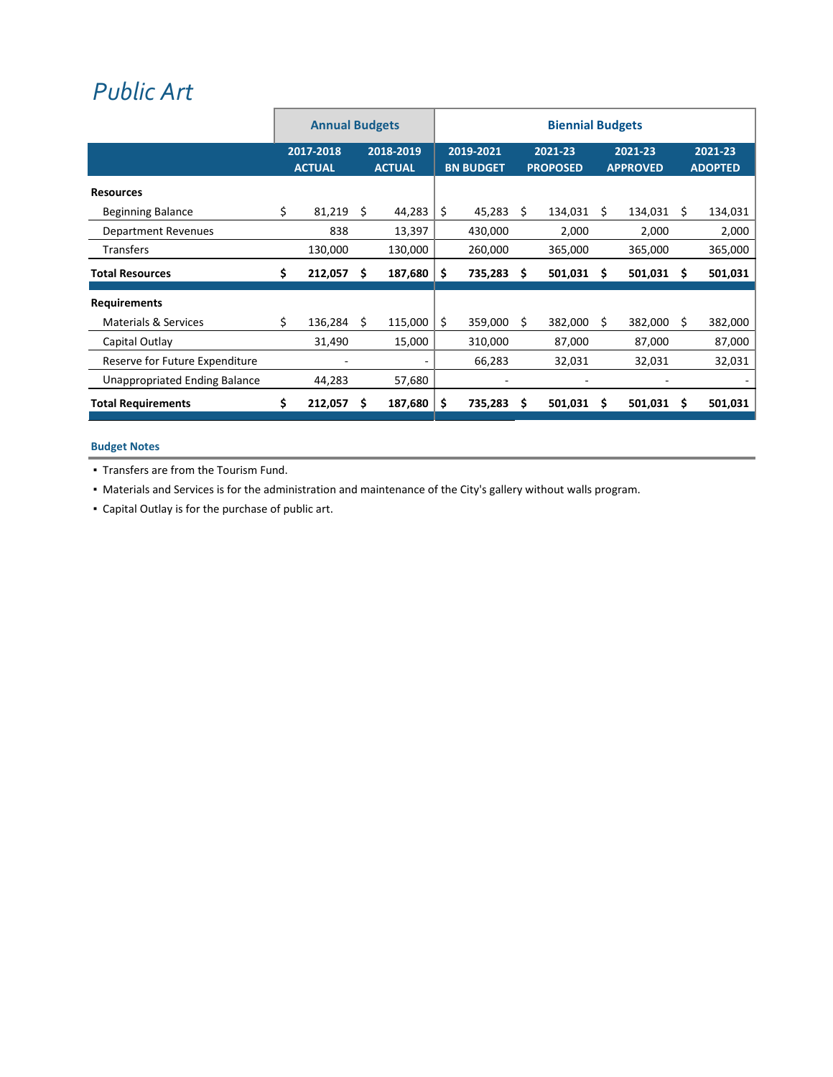## *[Public](http://www.ci.oswego.or.us/community/arts-culture) Art*

|                                      | <b>Annual Budgets</b> |                            |                            | <b>Biennial Budgets</b> |                               |         |                            |         |                            |         |                           |         |
|--------------------------------------|-----------------------|----------------------------|----------------------------|-------------------------|-------------------------------|---------|----------------------------|---------|----------------------------|---------|---------------------------|---------|
|                                      |                       | 2017-2018<br><b>ACTUAL</b> | 2018-2019<br><b>ACTUAL</b> |                         | 2019-2021<br><b>BN BUDGET</b> |         | 2021-23<br><b>PROPOSED</b> |         | 2021-23<br><b>APPROVED</b> |         | 2021-23<br><b>ADOPTED</b> |         |
| <b>Resources</b>                     |                       |                            |                            |                         |                               |         |                            |         |                            |         |                           |         |
| <b>Beginning Balance</b>             | \$                    | 81,219                     | \$                         | 44,283                  | \$                            | 45,283  | S                          | 134,031 | \$.                        | 134,031 | \$.                       | 134,031 |
| <b>Department Revenues</b>           |                       | 838                        |                            | 13,397                  |                               | 430,000 |                            | 2,000   |                            | 2,000   |                           | 2,000   |
| <b>Transfers</b>                     |                       | 130,000                    |                            | 130,000                 |                               | 260,000 |                            | 365,000 |                            | 365,000 |                           | 365,000 |
| <b>Total Resources</b>               | \$                    | 212,057                    | \$                         | 187,680                 | \$                            | 735,283 | S                          | 501,031 | Ŝ                          | 501,031 | S                         | 501,031 |
| <b>Requirements</b>                  |                       |                            |                            |                         |                               |         |                            |         |                            |         |                           |         |
| <b>Materials &amp; Services</b>      | \$                    | 136,284                    | S                          | 115,000                 | \$                            | 359,000 | S.                         | 382,000 | Ŝ.                         | 382,000 | -S                        | 382,000 |
| Capital Outlay                       |                       | 31,490                     |                            | 15,000                  |                               | 310,000 |                            | 87,000  |                            | 87,000  |                           | 87,000  |
| Reserve for Future Expenditure       |                       |                            |                            |                         |                               | 66,283  |                            | 32,031  |                            | 32,031  |                           | 32,031  |
| <b>Unappropriated Ending Balance</b> |                       | 44,283                     |                            | 57,680                  |                               |         |                            |         |                            |         |                           |         |
| <b>Total Requirements</b>            | \$                    | 212,057                    | s                          | 187,680                 | \$                            | 735,283 | S                          | 501,031 | S                          | 501,031 | S                         | 501,031 |

### **Budget Notes**

▪ Transfers are from the Tourism Fund.

▪ Materials and Services is for the administration and maintenance of the City's gallery without walls program.

▪ Capital Outlay is for the purchase of public art.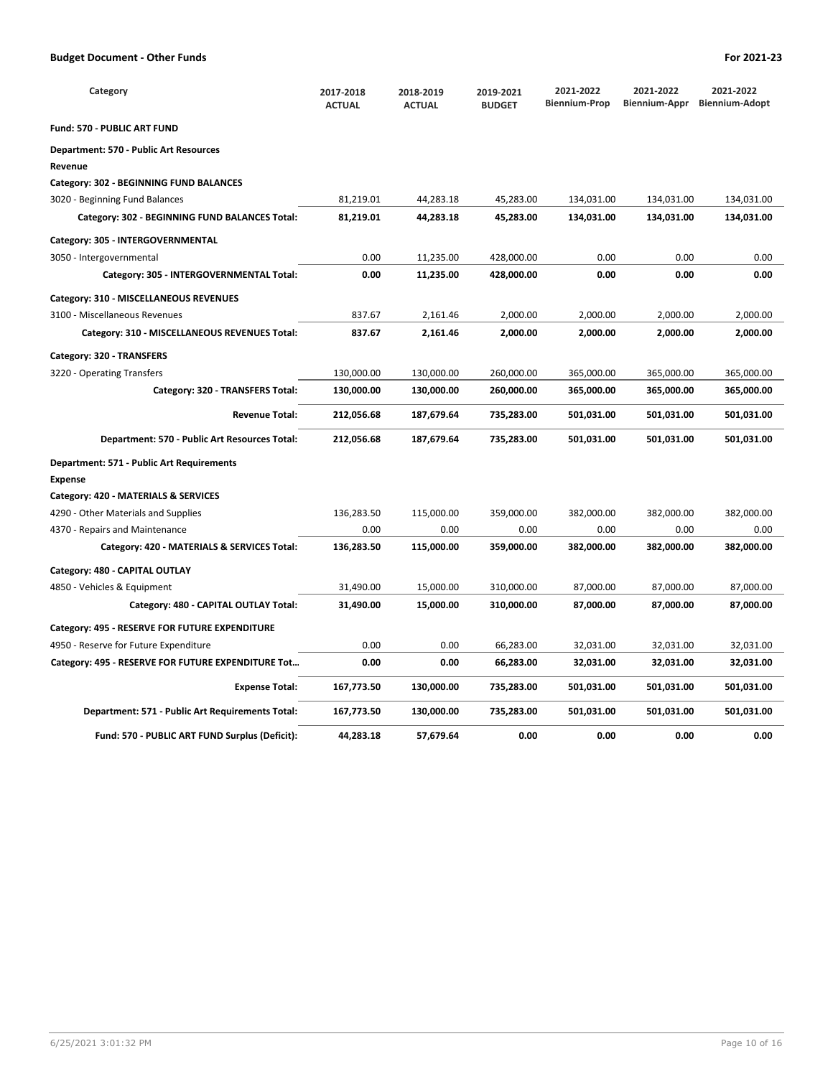| Category                                           | 2017-2018<br><b>ACTUAL</b> | 2018-2019<br><b>ACTUAL</b> | 2019-2021<br><b>BUDGET</b> | 2021-2022<br><b>Biennium-Prop</b> | 2021-2022<br>Biennium-Appr | 2021-2022<br><b>Biennium-Adopt</b> |
|----------------------------------------------------|----------------------------|----------------------------|----------------------------|-----------------------------------|----------------------------|------------------------------------|
| Fund: 570 - PUBLIC ART FUND                        |                            |                            |                            |                                   |                            |                                    |
| Department: 570 - Public Art Resources             |                            |                            |                            |                                   |                            |                                    |
| Revenue                                            |                            |                            |                            |                                   |                            |                                    |
| Category: 302 - BEGINNING FUND BALANCES            |                            |                            |                            |                                   |                            |                                    |
| 3020 - Beginning Fund Balances                     | 81,219.01                  | 44,283.18                  | 45,283.00                  | 134,031.00                        | 134,031.00                 | 134,031.00                         |
| Category: 302 - BEGINNING FUND BALANCES Total:     | 81,219.01                  | 44,283.18                  | 45,283.00                  | 134,031.00                        | 134,031.00                 | 134,031.00                         |
| Category: 305 - INTERGOVERNMENTAL                  |                            |                            |                            |                                   |                            |                                    |
| 3050 - Intergovernmental                           | 0.00                       | 11,235.00                  | 428,000.00                 | 0.00                              | 0.00                       | 0.00                               |
| Category: 305 - INTERGOVERNMENTAL Total:           | 0.00                       | 11,235.00                  | 428,000.00                 | 0.00                              | 0.00                       | 0.00                               |
| Category: 310 - MISCELLANEOUS REVENUES             |                            |                            |                            |                                   |                            |                                    |
| 3100 - Miscellaneous Revenues                      | 837.67                     | 2,161.46                   | 2,000.00                   | 2,000.00                          | 2,000.00                   | 2,000.00                           |
| Category: 310 - MISCELLANEOUS REVENUES Total:      | 837.67                     | 2,161.46                   | 2,000.00                   | 2,000.00                          | 2,000.00                   | 2,000.00                           |
| Category: 320 - TRANSFERS                          |                            |                            |                            |                                   |                            |                                    |
| 3220 - Operating Transfers                         | 130,000.00                 | 130,000.00                 | 260,000.00                 | 365,000.00                        | 365,000.00                 | 365,000.00                         |
| Category: 320 - TRANSFERS Total:                   | 130,000.00                 | 130,000.00                 | 260,000.00                 | 365,000.00                        | 365,000.00                 | 365,000.00                         |
| <b>Revenue Total:</b>                              | 212,056.68                 | 187,679.64                 | 735,283.00                 | 501,031.00                        | 501,031.00                 | 501,031.00                         |
| Department: 570 - Public Art Resources Total:      | 212,056.68                 | 187,679.64                 | 735,283.00                 | 501,031.00                        | 501,031.00                 | 501,031.00                         |
| Department: 571 - Public Art Requirements          |                            |                            |                            |                                   |                            |                                    |
| <b>Expense</b>                                     |                            |                            |                            |                                   |                            |                                    |
| Category: 420 - MATERIALS & SERVICES               |                            |                            |                            |                                   |                            |                                    |
| 4290 - Other Materials and Supplies                | 136,283.50                 | 115,000.00                 | 359,000.00                 | 382,000.00                        | 382,000.00                 | 382,000.00                         |
| 4370 - Repairs and Maintenance                     | 0.00                       | 0.00                       | 0.00                       | 0.00                              | 0.00                       | 0.00                               |
| Category: 420 - MATERIALS & SERVICES Total:        | 136,283.50                 | 115,000.00                 | 359,000.00                 | 382,000.00                        | 382,000.00                 | 382,000.00                         |
| Category: 480 - CAPITAL OUTLAY                     |                            |                            |                            |                                   |                            |                                    |
| 4850 - Vehicles & Equipment                        | 31,490.00                  | 15,000.00                  | 310,000.00                 | 87,000.00                         | 87,000.00                  | 87,000.00                          |
| Category: 480 - CAPITAL OUTLAY Total:              | 31,490.00                  | 15,000.00                  | 310,000.00                 | 87,000.00                         | 87,000.00                  | 87,000.00                          |
| Category: 495 - RESERVE FOR FUTURE EXPENDITURE     |                            |                            |                            |                                   |                            |                                    |
| 4950 - Reserve for Future Expenditure              | 0.00                       | 0.00                       | 66,283.00                  | 32,031.00                         | 32,031.00                  | 32,031.00                          |
| Category: 495 - RESERVE FOR FUTURE EXPENDITURE Tot | 0.00                       | 0.00                       | 66,283.00                  | 32,031.00                         | 32,031.00                  | 32,031.00                          |
| <b>Expense Total:</b>                              | 167,773.50                 | 130,000.00                 | 735,283.00                 | 501,031.00                        | 501,031.00                 | 501,031.00                         |
| Department: 571 - Public Art Requirements Total:   | 167,773.50                 | 130,000.00                 | 735,283.00                 | 501,031.00                        | 501,031.00                 | 501,031.00                         |
| Fund: 570 - PUBLIC ART FUND Surplus (Deficit):     | 44,283.18                  | 57,679.64                  | 0.00                       | 0.00                              | 0.00                       | 0.00                               |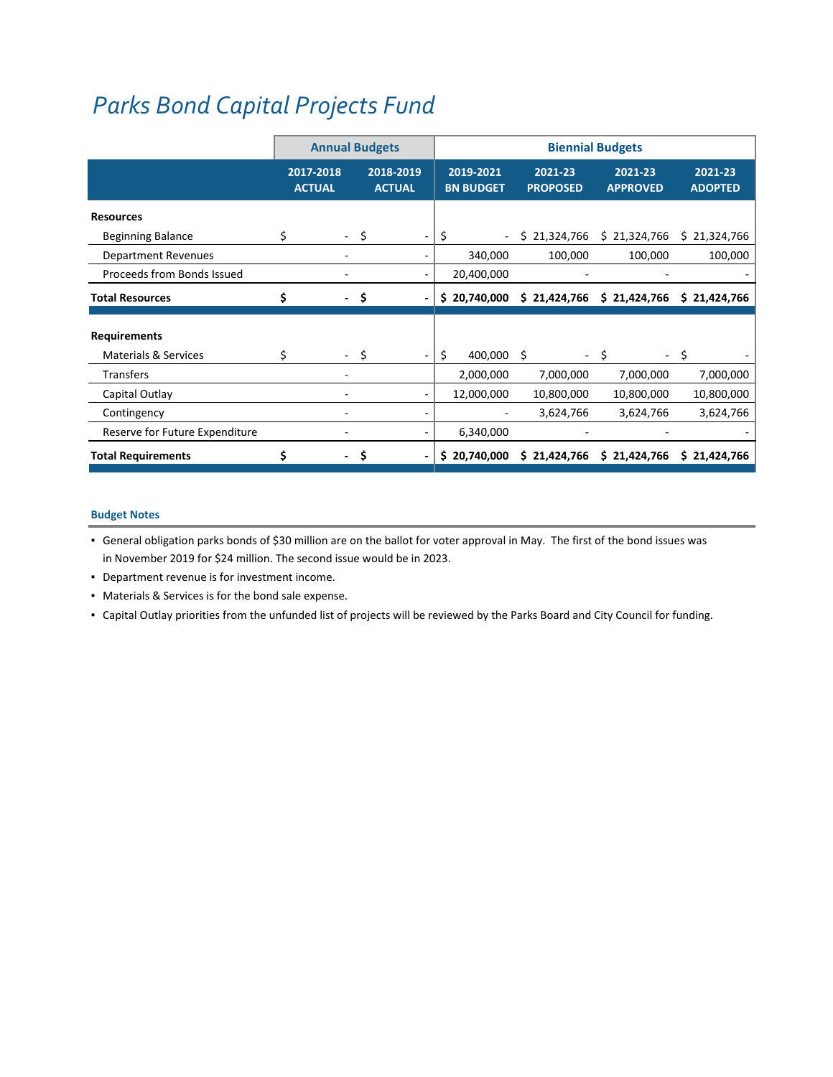# *Parks Bond Capital [Projects](http://www.ci.oswego.or.us/parksrec/bond-investment) Fund*

|                                 | <b>Annual Budgets</b>      |                                |                            |                               |                            | <b>Biennial Budgets</b>    |                           |
|---------------------------------|----------------------------|--------------------------------|----------------------------|-------------------------------|----------------------------|----------------------------|---------------------------|
|                                 | 2017-2018<br><b>ACTUAL</b> |                                | 2018-2019<br><b>ACTUAL</b> | 2019-2021<br><b>BN BUDGET</b> | 2021-23<br><b>PROPOSED</b> | 2021-23<br><b>APPROVED</b> | 2021-23<br><b>ADOPTED</b> |
| <b>Resources</b>                |                            |                                |                            |                               |                            |                            |                           |
| <b>Beginning Balance</b>        | \$                         | \$<br>$\sim$                   |                            | \$<br>٠.                      | \$21,324,766               | \$21,324,766               | \$21,324,766              |
| <b>Department Revenues</b>      |                            |                                |                            | 340,000                       | 100,000                    | 100,000                    | 100,000                   |
| Proceeds from Bonds Issued      |                            |                                |                            | 20,400,000                    |                            |                            |                           |
| <b>Total Resources</b>          | \$                         | \$<br>$\overline{\phantom{0}}$ |                            | \$20,740,000                  | \$21,424,766               | \$21,424,766               | \$21,424,766              |
|                                 |                            |                                |                            |                               |                            |                            |                           |
| <b>Requirements</b>             |                            |                                |                            |                               |                            |                            |                           |
| <b>Materials &amp; Services</b> | \$                         | Ś                              |                            | \$<br>400,000                 | Ŝ                          | Š.                         | Ŝ.                        |
| <b>Transfers</b>                |                            |                                |                            | 2,000,000                     | 7,000,000                  | 7,000,000                  | 7,000,000                 |
| Capital Outlay                  |                            |                                |                            | 12,000,000                    | 10,800,000                 | 10,800,000                 | 10,800,000                |
| Contingency                     |                            |                                |                            |                               | 3,624,766                  | 3,624,766                  | 3,624,766                 |
| Reserve for Future Expenditure  |                            |                                |                            | 6,340,000                     |                            |                            |                           |
| <b>Total Requirements</b>       | \$                         | \$                             |                            | \$20,740,000                  | \$21,424,766               | \$21,424,766               | \$21,424,766              |

## **Budget Notes**

- General obligation parks bonds of \$30 million are on the ballot for voter approval in May. The first of the bond issues was in November 2019 for \$24 million. The second issue would be in 2023.
- Department revenue is for investment income.
- Materials & Services is for the bond sale expense.
- Capital Outlay priorities from the unfunded list of projects will be reviewed by the Parks Board and City Council for funding.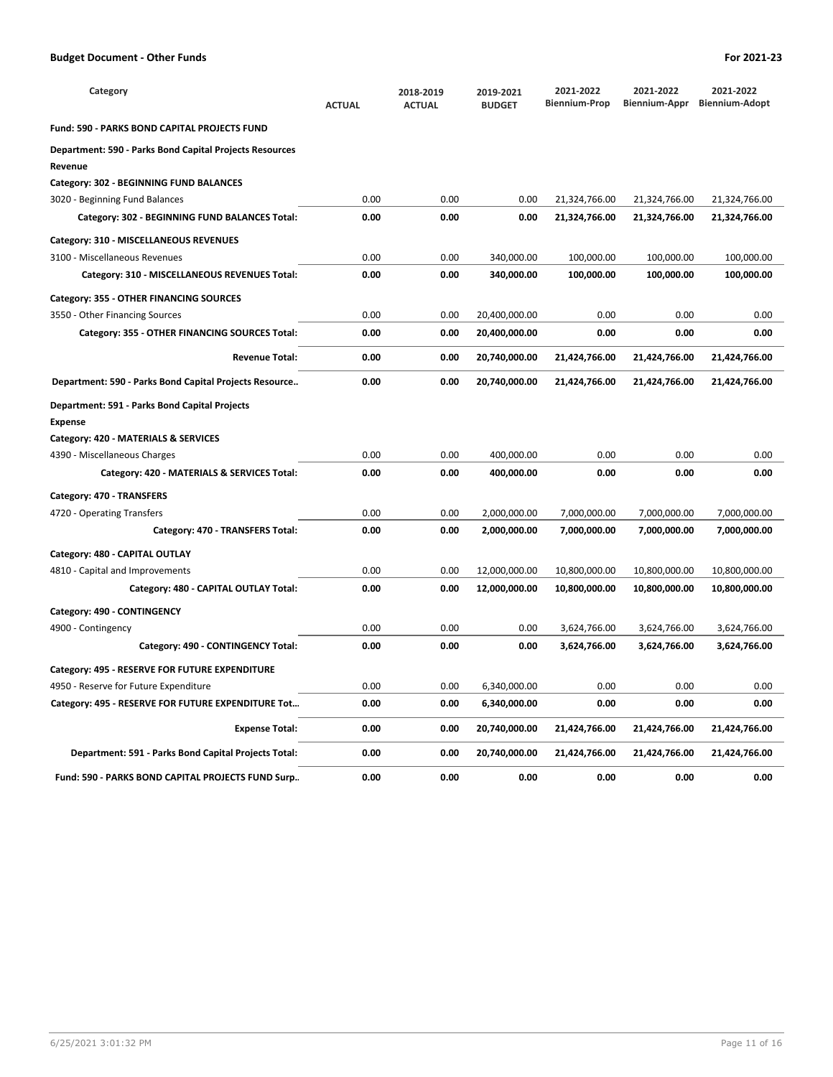| Category                                                                  | <b>ACTUAL</b> | 2018-2019<br><b>ACTUAL</b> | 2019-2021<br><b>BUDGET</b> | 2021-2022<br><b>Biennium-Prop</b> | 2021-2022<br>Biennium-Appr | 2021-2022<br><b>Biennium-Adopt</b> |
|---------------------------------------------------------------------------|---------------|----------------------------|----------------------------|-----------------------------------|----------------------------|------------------------------------|
| <b>Fund: 590 - PARKS BOND CAPITAL PROJECTS FUND</b>                       |               |                            |                            |                                   |                            |                                    |
| <b>Department: 590 - Parks Bond Capital Projects Resources</b><br>Revenue |               |                            |                            |                                   |                            |                                    |
| Category: 302 - BEGINNING FUND BALANCES                                   |               |                            |                            |                                   |                            |                                    |
| 3020 - Beginning Fund Balances                                            | 0.00          | 0.00                       | 0.00                       | 21,324,766.00                     | 21,324,766.00              | 21,324,766.00                      |
| Category: 302 - BEGINNING FUND BALANCES Total:                            | 0.00          | 0.00                       | 0.00                       | 21,324,766.00                     | 21,324,766.00              | 21,324,766.00                      |
| Category: 310 - MISCELLANEOUS REVENUES                                    |               |                            |                            |                                   |                            |                                    |
| 3100 - Miscellaneous Revenues                                             | 0.00          | 0.00                       | 340,000.00                 | 100,000.00                        | 100,000.00                 | 100,000.00                         |
| Category: 310 - MISCELLANEOUS REVENUES Total:                             | 0.00          | 0.00                       | 340,000.00                 | 100,000.00                        | 100,000.00                 | 100,000.00                         |
| Category: 355 - OTHER FINANCING SOURCES                                   |               |                            |                            |                                   |                            |                                    |
| 3550 - Other Financing Sources                                            | 0.00          | 0.00                       | 20,400,000.00              | 0.00                              | 0.00                       | 0.00                               |
| Category: 355 - OTHER FINANCING SOURCES Total:                            | 0.00          | 0.00                       | 20,400,000.00              | 0.00                              | 0.00                       | 0.00                               |
| <b>Revenue Total:</b>                                                     | 0.00          | 0.00                       | 20,740,000.00              | 21,424,766.00                     | 21,424,766.00              | 21,424,766.00                      |
| Department: 590 - Parks Bond Capital Projects Resource                    | 0.00          | 0.00                       | 20,740,000.00              | 21,424,766.00                     | 21,424,766.00              | 21,424,766.00                      |
| Department: 591 - Parks Bond Capital Projects                             |               |                            |                            |                                   |                            |                                    |
| <b>Expense</b>                                                            |               |                            |                            |                                   |                            |                                    |
| Category: 420 - MATERIALS & SERVICES                                      |               |                            |                            |                                   |                            |                                    |
| 4390 - Miscellaneous Charges                                              | 0.00          | 0.00                       | 400,000.00                 | 0.00                              | 0.00                       | 0.00                               |
| Category: 420 - MATERIALS & SERVICES Total:                               | 0.00          | 0.00                       | 400,000.00                 | 0.00                              | 0.00                       | 0.00                               |
| Category: 470 - TRANSFERS                                                 |               |                            |                            |                                   |                            |                                    |
| 4720 - Operating Transfers                                                | 0.00          | 0.00                       | 2,000,000.00               | 7,000,000.00                      | 7,000,000.00               | 7,000,000.00                       |
| Category: 470 - TRANSFERS Total:                                          | 0.00          | 0.00                       | 2,000,000.00               | 7,000,000.00                      | 7,000,000.00               | 7,000,000.00                       |
| Category: 480 - CAPITAL OUTLAY                                            |               |                            |                            |                                   |                            |                                    |
| 4810 - Capital and Improvements                                           | 0.00          | 0.00                       | 12,000,000.00              | 10,800,000.00                     | 10,800,000.00              | 10,800,000.00                      |
| Category: 480 - CAPITAL OUTLAY Total:                                     | 0.00          | 0.00                       | 12,000,000.00              | 10,800,000.00                     | 10,800,000.00              | 10,800,000.00                      |
| Category: 490 - CONTINGENCY                                               |               |                            |                            |                                   |                            |                                    |
| 4900 - Contingency                                                        | 0.00          | 0.00                       | 0.00                       | 3,624,766.00                      | 3,624,766.00               | 3,624,766.00                       |
| Category: 490 - CONTINGENCY Total:                                        | 0.00          | 0.00                       | 0.00                       | 3,624,766.00                      | 3,624,766.00               | 3,624,766.00                       |
| Category: 495 - RESERVE FOR FUTURE EXPENDITURE                            |               |                            |                            |                                   |                            |                                    |
| 4950 - Reserve for Future Expenditure                                     | 0.00          | 0.00                       | 6,340,000.00               | 0.00                              | 0.00                       | 0.00                               |
| Category: 495 - RESERVE FOR FUTURE EXPENDITURE Tot                        | 0.00          | 0.00                       | 6,340,000.00               | 0.00                              | 0.00                       | 0.00                               |
| <b>Expense Total:</b>                                                     | 0.00          | 0.00                       | 20,740,000.00              | 21,424,766.00                     | 21,424,766.00              | 21,424,766.00                      |
| Department: 591 - Parks Bond Capital Projects Total:                      | 0.00          | 0.00                       | 20,740,000.00              | 21,424,766.00                     | 21,424,766.00              | 21,424,766.00                      |
| Fund: 590 - PARKS BOND CAPITAL PROJECTS FUND Surp                         | 0.00          | 0.00                       | 0.00                       | 0.00                              | 0.00                       | 0.00                               |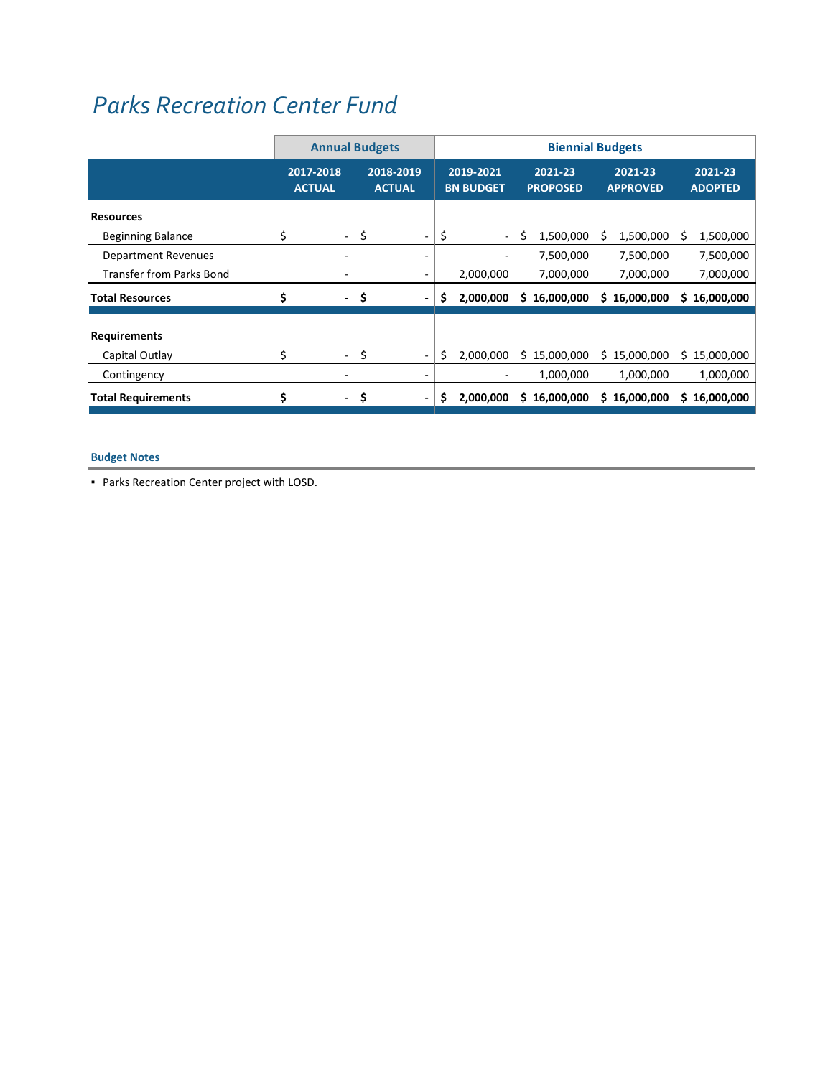# *Parks [Recreation](http://www.ci.oswego.or.us/parksrec/recreation-and-aquatics-center) Center Fund*

|                                       | <b>Annual Budgets</b><br>2017-2018<br>2018-2019<br><b>ACTUAL</b><br><b>ACTUAL</b><br>\$<br>\$<br>$\sim$ |      |                              |    | <b>Biennial Budgets</b>       |                            |                            |                           |  |  |  |  |
|---------------------------------------|---------------------------------------------------------------------------------------------------------|------|------------------------------|----|-------------------------------|----------------------------|----------------------------|---------------------------|--|--|--|--|
|                                       |                                                                                                         |      |                              |    | 2019-2021<br><b>BN BUDGET</b> | 2021-23<br><b>PROPOSED</b> | 2021-23<br><b>APPROVED</b> | 2021-23<br><b>ADOPTED</b> |  |  |  |  |
| <b>Resources</b>                      |                                                                                                         |      |                              |    |                               |                            |                            |                           |  |  |  |  |
| <b>Beginning Balance</b>              |                                                                                                         |      |                              | \$ | $\sim$                        | S<br>1,500,000             | 1,500,000<br>S             | 1,500,000<br>s            |  |  |  |  |
| <b>Department Revenues</b>            |                                                                                                         |      | $\qquad \qquad \blacksquare$ |    |                               | 7,500,000                  | 7,500,000                  | 7,500,000                 |  |  |  |  |
| <b>Transfer from Parks Bond</b>       |                                                                                                         |      |                              |    | 2,000,000                     | 7,000,000                  | 7,000,000                  | 7,000,000                 |  |  |  |  |
| <b>Total Resources</b>                | \$                                                                                                      | - \$ |                              | s  | 2,000,000                     | \$16,000,000               | \$16,000,000               | 16,000,000<br>S.          |  |  |  |  |
| <b>Requirements</b><br>Capital Outlay | \$                                                                                                      | - \$ |                              | \$ | 2,000,000                     | \$15,000,000               | \$15,000,000               | 15,000,000<br>S.          |  |  |  |  |
| Contingency                           |                                                                                                         |      |                              |    |                               | 1,000,000                  | 1,000,000                  | 1,000,000                 |  |  |  |  |
| <b>Total Requirements</b>             | \$<br>۰                                                                                                 | \$   |                              | Ş. | 2,000,000                     | \$16,000,000               | 16,000,000<br>S.           | 16,000,000<br>S.          |  |  |  |  |

### **Budget Notes**

▪ Parks Recreation Center project with LOSD.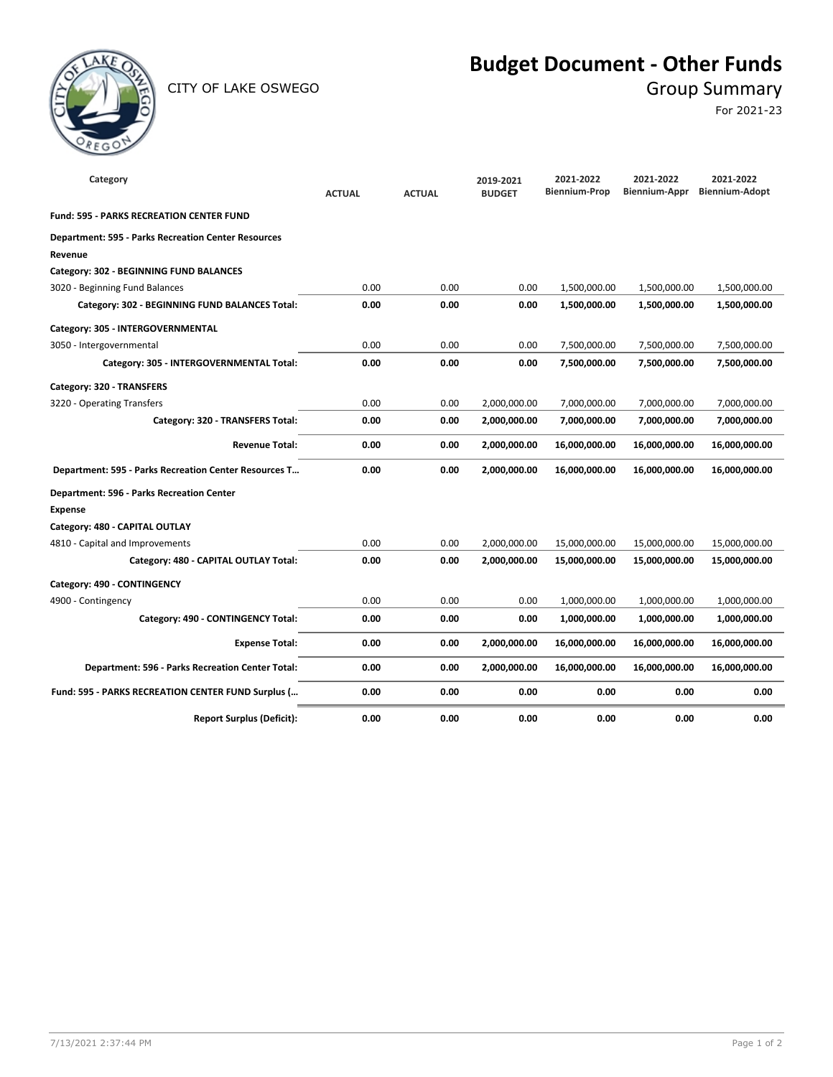

CITY OF LAKE OSWEGO GROUP SUMMARY

## **Budget Document - Other Funds**

For 2021-23

| Category                                                   | <b>ACTUAL</b> | <b>ACTUAL</b> | 2019-2021<br><b>BUDGET</b> | 2021-2022<br><b>Biennium-Prop</b> | 2021-2022<br>Biennium-Appr | 2021-2022<br><b>Biennium-Adopt</b> |
|------------------------------------------------------------|---------------|---------------|----------------------------|-----------------------------------|----------------------------|------------------------------------|
| <b>Fund: 595 - PARKS RECREATION CENTER FUND</b>            |               |               |                            |                                   |                            |                                    |
| <b>Department: 595 - Parks Recreation Center Resources</b> |               |               |                            |                                   |                            |                                    |
| Revenue                                                    |               |               |                            |                                   |                            |                                    |
| Category: 302 - BEGINNING FUND BALANCES                    |               |               |                            |                                   |                            |                                    |
| 3020 - Beginning Fund Balances                             | 0.00          | 0.00          | 0.00                       | 1,500,000.00                      | 1,500,000.00               | 1,500,000.00                       |
| Category: 302 - BEGINNING FUND BALANCES Total:             | 0.00          | 0.00          | 0.00                       | 1,500,000.00                      | 1,500,000.00               | 1,500,000.00                       |
| Category: 305 - INTERGOVERNMENTAL                          |               |               |                            |                                   |                            |                                    |
| 3050 - Intergovernmental                                   | 0.00          | 0.00          | 0.00                       | 7,500,000.00                      | 7,500,000.00               | 7,500,000.00                       |
| Category: 305 - INTERGOVERNMENTAL Total:                   | 0.00          | 0.00          | 0.00                       | 7,500,000.00                      | 7,500,000.00               | 7,500,000.00                       |
| Category: 320 - TRANSFERS                                  |               |               |                            |                                   |                            |                                    |
| 3220 - Operating Transfers                                 | 0.00          | 0.00          | 2,000,000.00               | 7,000,000.00                      | 7,000,000.00               | 7,000,000.00                       |
| Category: 320 - TRANSFERS Total:                           | 0.00          | 0.00          | 2,000,000.00               | 7,000,000.00                      | 7,000,000.00               | 7,000,000.00                       |
| <b>Revenue Total:</b>                                      | 0.00          | 0.00          | 2,000,000.00               | 16,000,000.00                     | 16,000,000.00              | 16,000,000.00                      |
| Department: 595 - Parks Recreation Center Resources T      | 0.00          | 0.00          | 2,000,000.00               | 16,000,000.00                     | 16,000,000.00              | 16,000,000.00                      |
| <b>Department: 596 - Parks Recreation Center</b>           |               |               |                            |                                   |                            |                                    |
| <b>Expense</b>                                             |               |               |                            |                                   |                            |                                    |
| Category: 480 - CAPITAL OUTLAY                             |               |               |                            |                                   |                            |                                    |
| 4810 - Capital and Improvements                            | 0.00          | 0.00          | 2,000,000.00               | 15,000,000.00                     | 15,000,000.00              | 15,000,000.00                      |
| Category: 480 - CAPITAL OUTLAY Total:                      | 0.00          | 0.00          | 2,000,000.00               | 15,000,000.00                     | 15,000,000.00              | 15,000,000.00                      |
| Category: 490 - CONTINGENCY                                |               |               |                            |                                   |                            |                                    |
| 4900 - Contingency                                         | 0.00          | 0.00          | 0.00                       | 1,000,000.00                      | 1,000,000.00               | 1,000,000.00                       |
| Category: 490 - CONTINGENCY Total:                         | 0.00          | 0.00          | 0.00                       | 1,000,000.00                      | 1,000,000.00               | 1,000,000.00                       |
| <b>Expense Total:</b>                                      | 0.00          | 0.00          | 2,000,000.00               | 16,000,000.00                     | 16,000,000.00              | 16,000,000.00                      |
| Department: 596 - Parks Recreation Center Total:           | 0.00          | 0.00          | 2,000,000.00               | 16,000,000.00                     | 16,000,000.00              | 16,000,000.00                      |
| Fund: 595 - PARKS RECREATION CENTER FUND Surplus (         | 0.00          | 0.00          | 0.00                       | 0.00                              | 0.00                       | 0.00                               |
| <b>Report Surplus (Deficit):</b>                           | 0.00          | 0.00          | 0.00                       | 0.00                              | 0.00                       | 0.00                               |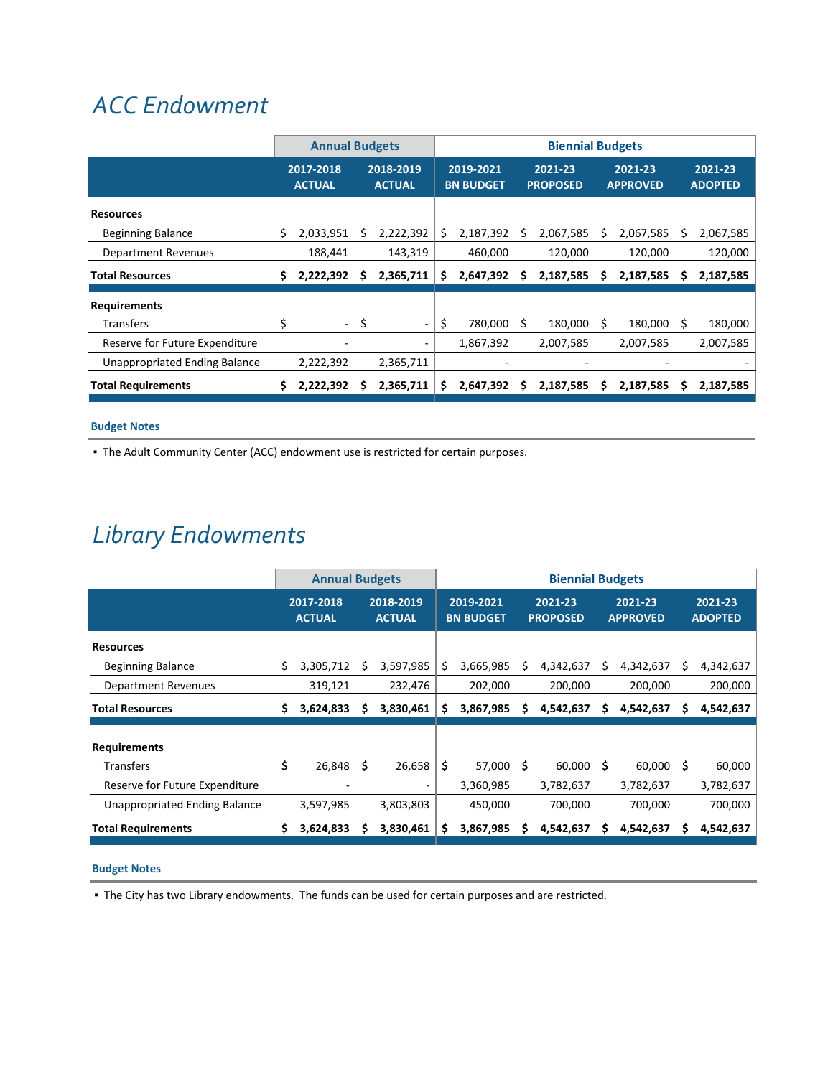## *ACC [Endowment](http://www.ci.oswego.or.us/acc/about-adult-community-center)*

|                                      |    | <b>Annual Budgets</b>      |    |                            | <b>Biennial Budgets</b> |                               |   |                            |   |                            |   |                           |
|--------------------------------------|----|----------------------------|----|----------------------------|-------------------------|-------------------------------|---|----------------------------|---|----------------------------|---|---------------------------|
|                                      |    | 2017-2018<br><b>ACTUAL</b> |    | 2018-2019<br><b>ACTUAL</b> |                         | 2019-2021<br><b>BN BUDGET</b> |   | 2021-23<br><b>PROPOSED</b> |   | 2021-23<br><b>APPROVED</b> |   | 2021-23<br><b>ADOPTED</b> |
| <b>Resources</b>                     |    |                            |    |                            |                         |                               |   |                            |   |                            |   |                           |
| <b>Beginning Balance</b>             | \$ | 2,033,951                  | s  | 2,222,392                  | \$                      | 2,187,392                     | s | 2,067,585                  | S | 2,067,585                  | S | 2,067,585                 |
| <b>Department Revenues</b>           |    | 188,441                    |    | 143,319                    |                         | 460,000                       |   | 120,000                    |   | 120,000                    |   | 120,000                   |
| <b>Total Resources</b>               | \$ | 2,222,392                  |    | 2,365,711                  | s                       | 2,647,392                     | s | 2,187,585                  |   | 2,187,585                  | s | 2,187,585                 |
| <b>Requirements</b>                  |    |                            |    |                            |                         |                               |   |                            |   |                            |   |                           |
| Transfers                            | \$ | $\sim$                     | S. |                            | \$                      | 780,000                       | S | 180,000                    | S | 180,000                    | S | 180,000                   |
| Reserve for Future Expenditure       |    |                            |    |                            |                         | 1,867,392                     |   | 2,007,585                  |   | 2,007,585                  |   | 2,007,585                 |
| <b>Unappropriated Ending Balance</b> |    | 2,222,392                  |    | 2,365,711                  |                         |                               |   |                            |   |                            |   |                           |
| <b>Total Requirements</b>            | S. | 2,222,392                  | s  | 2,365,711                  | s                       | 2,647,392                     | s | 2,187,585                  | s | 2,187,585                  | s | 2,187,585                 |

### **Budget Notes**

▪ The Adult Community Center (ACC) endowment use is restricted for certain purposes.

# *Library [Endowments](http://www.ci.oswego.or.us/library/about-us)*

|                                      |    | <b>Annual Budgets</b>      |    |                            | <b>Biennial Budgets</b> |                               |     |                            |     |                            |    |                           |
|--------------------------------------|----|----------------------------|----|----------------------------|-------------------------|-------------------------------|-----|----------------------------|-----|----------------------------|----|---------------------------|
|                                      |    | 2017-2018<br><b>ACTUAL</b> |    | 2018-2019<br><b>ACTUAL</b> |                         | 2019-2021<br><b>BN BUDGET</b> |     | 2021-23<br><b>PROPOSED</b> |     | 2021-23<br><b>APPROVED</b> |    | 2021-23<br><b>ADOPTED</b> |
| <b>Resources</b>                     |    |                            |    |                            |                         |                               |     |                            |     |                            |    |                           |
| <b>Beginning Balance</b>             |    | 3,305,712                  | S  | 3,597,985                  | S                       | 3,665,985                     |     | 4,342,637                  | s   | 4,342,637                  |    | 4,342,637                 |
| Department Revenues                  |    | 319,121                    |    | 232,476                    |                         | 202,000                       |     | 200,000                    |     | 200,000                    |    | 200,000                   |
| <b>Total Resources</b>               | S  | 3,624,833                  | s  | 3,830,461                  | S                       | 3,867,985                     | s   | 4,542,637                  | s   | 4,542,637                  | s  | 4,542,637                 |
|                                      |    |                            |    |                            |                         |                               |     |                            |     |                            |    |                           |
| <b>Requirements</b>                  |    |                            |    |                            |                         |                               |     |                            |     |                            |    |                           |
| <b>Transfers</b>                     | S. | 26,848                     | S. | 26,658                     | \$.                     | 57,000                        | - S | 60,000                     | - S | 60,000                     | -S | 60,000                    |
| Reserve for Future Expenditure       |    |                            |    |                            |                         | 3,360,985                     |     | 3,782,637                  |     | 3,782,637                  |    | 3,782,637                 |
| <b>Unappropriated Ending Balance</b> |    | 3,597,985                  |    | 3,803,803                  |                         | 450,000                       |     | 700,000                    |     | 700,000                    |    | 700,000                   |
| <b>Total Requirements</b>            | S  | 3,624,833                  |    | 3,830,461                  | s                       | 3,867,985                     |     | 4,542,637                  |     | 4,542,637                  |    | 4,542,637                 |

## **Budget Notes**

▪ The City has two Library endowments. The funds can be used for certain purposes and are restricted.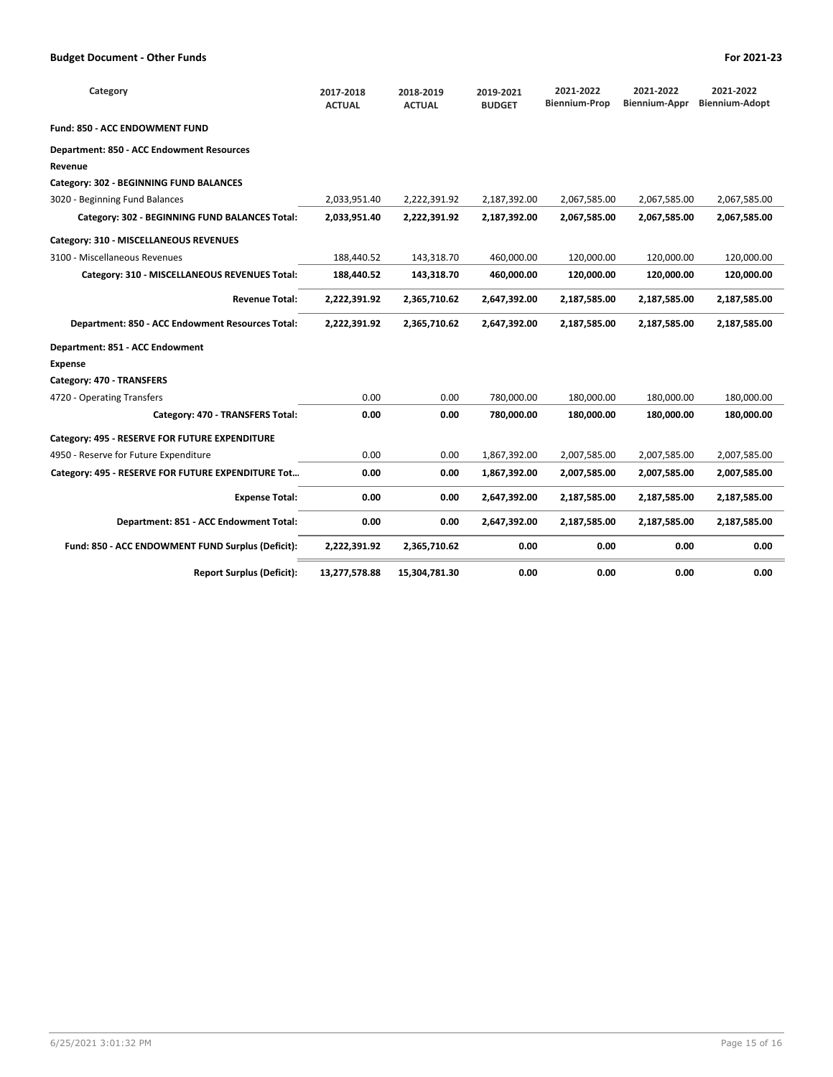| Category                                           | 2017-2018<br><b>ACTUAL</b> | 2018-2019<br><b>ACTUAL</b> | 2019-2021<br><b>BUDGET</b> | 2021-2022<br><b>Biennium-Prop</b> | 2021-2022<br><b>Biennium-Appr</b> | 2021-2022<br><b>Biennium-Adopt</b> |
|----------------------------------------------------|----------------------------|----------------------------|----------------------------|-----------------------------------|-----------------------------------|------------------------------------|
| Fund: 850 - ACC ENDOWMENT FUND                     |                            |                            |                            |                                   |                                   |                                    |
| <b>Department: 850 - ACC Endowment Resources</b>   |                            |                            |                            |                                   |                                   |                                    |
| Revenue                                            |                            |                            |                            |                                   |                                   |                                    |
| Category: 302 - BEGINNING FUND BALANCES            |                            |                            |                            |                                   |                                   |                                    |
| 3020 - Beginning Fund Balances                     | 2,033,951.40               | 2,222,391.92               | 2,187,392.00               | 2,067,585.00                      | 2,067,585.00                      | 2,067,585.00                       |
| Category: 302 - BEGINNING FUND BALANCES Total:     | 2,033,951.40               | 2,222,391.92               | 2,187,392.00               | 2,067,585.00                      | 2,067,585.00                      | 2,067,585.00                       |
| Category: 310 - MISCELLANEOUS REVENUES             |                            |                            |                            |                                   |                                   |                                    |
| 3100 - Miscellaneous Revenues                      | 188,440.52                 | 143.318.70                 | 460.000.00                 | 120.000.00                        | 120.000.00                        | 120.000.00                         |
| Category: 310 - MISCELLANEOUS REVENUES Total:      | 188,440.52                 | 143,318.70                 | 460,000.00                 | 120,000.00                        | 120,000.00                        | 120,000.00                         |
| <b>Revenue Total:</b>                              | 2,222,391.92               | 2,365,710.62               | 2,647,392.00               | 2,187,585.00                      | 2,187,585.00                      | 2,187,585.00                       |
| Department: 850 - ACC Endowment Resources Total:   | 2,222,391.92               | 2,365,710.62               | 2,647,392.00               | 2,187,585.00                      | 2,187,585.00                      | 2,187,585.00                       |
| Department: 851 - ACC Endowment                    |                            |                            |                            |                                   |                                   |                                    |
| <b>Expense</b>                                     |                            |                            |                            |                                   |                                   |                                    |
| Category: 470 - TRANSFERS                          |                            |                            |                            |                                   |                                   |                                    |
| 4720 - Operating Transfers                         | 0.00                       | 0.00                       | 780,000.00                 | 180.000.00                        | 180.000.00                        | 180.000.00                         |
| Category: 470 - TRANSFERS Total:                   | 0.00                       | 0.00                       | 780,000.00                 | 180,000.00                        | 180,000.00                        | 180,000.00                         |
| Category: 495 - RESERVE FOR FUTURE EXPENDITURE     |                            |                            |                            |                                   |                                   |                                    |
| 4950 - Reserve for Future Expenditure              | 0.00                       | 0.00                       | 1,867,392.00               | 2,007,585.00                      | 2,007,585.00                      | 2,007,585.00                       |
| Category: 495 - RESERVE FOR FUTURE EXPENDITURE Tot | 0.00                       | 0.00                       | 1,867,392.00               | 2,007,585.00                      | 2,007,585.00                      | 2,007,585.00                       |
| <b>Expense Total:</b>                              | 0.00                       | 0.00                       | 2,647,392.00               | 2,187,585.00                      | 2,187,585.00                      | 2,187,585.00                       |
| Department: 851 - ACC Endowment Total:             | 0.00                       | 0.00                       | 2,647,392.00               | 2,187,585.00                      | 2,187,585.00                      | 2,187,585.00                       |
| Fund: 850 - ACC ENDOWMENT FUND Surplus (Deficit):  | 2,222,391.92               | 2,365,710.62               | 0.00                       | 0.00                              | 0.00                              | 0.00                               |
| <b>Report Surplus (Deficit):</b>                   | 13,277,578.88              | 15,304,781.30              | 0.00                       | 0.00                              | 0.00                              | 0.00                               |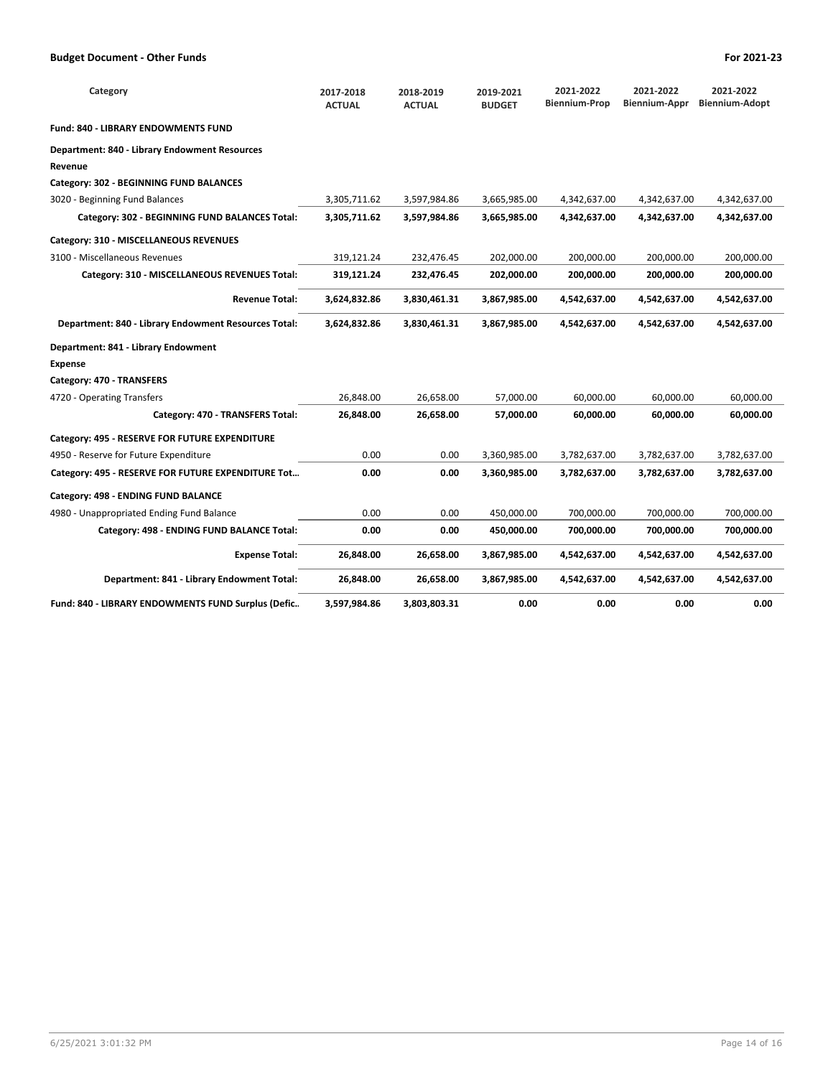| Category                                             | 2017-2018<br><b>ACTUAL</b> | 2018-2019<br><b>ACTUAL</b> | 2019-2021<br><b>BUDGET</b> | 2021-2022<br><b>Biennium-Prop</b> | 2021-2022<br>Biennium-Appr | 2021-2022<br><b>Biennium-Adopt</b> |
|------------------------------------------------------|----------------------------|----------------------------|----------------------------|-----------------------------------|----------------------------|------------------------------------|
| <b>Fund: 840 - LIBRARY ENDOWMENTS FUND</b>           |                            |                            |                            |                                   |                            |                                    |
| Department: 840 - Library Endowment Resources        |                            |                            |                            |                                   |                            |                                    |
| Revenue                                              |                            |                            |                            |                                   |                            |                                    |
| Category: 302 - BEGINNING FUND BALANCES              |                            |                            |                            |                                   |                            |                                    |
| 3020 - Beginning Fund Balances                       | 3,305,711.62               | 3,597,984.86               | 3,665,985.00               | 4,342,637.00                      | 4,342,637.00               | 4,342,637.00                       |
| Category: 302 - BEGINNING FUND BALANCES Total:       | 3,305,711.62               | 3,597,984.86               | 3,665,985.00               | 4,342,637.00                      | 4,342,637.00               | 4,342,637.00                       |
| Category: 310 - MISCELLANEOUS REVENUES               |                            |                            |                            |                                   |                            |                                    |
| 3100 - Miscellaneous Revenues                        | 319,121.24                 | 232,476.45                 | 202,000.00                 | 200,000.00                        | 200,000.00                 | 200,000.00                         |
| Category: 310 - MISCELLANEOUS REVENUES Total:        | 319,121.24                 | 232,476.45                 | 202,000.00                 | 200,000.00                        | 200,000.00                 | 200,000.00                         |
| <b>Revenue Total:</b>                                | 3,624,832.86               | 3,830,461.31               | 3,867,985.00               | 4,542,637.00                      | 4,542,637.00               | 4,542,637.00                       |
| Department: 840 - Library Endowment Resources Total: | 3,624,832.86               | 3,830,461.31               | 3,867,985.00               | 4,542,637.00                      | 4,542,637.00               | 4,542,637.00                       |
| Department: 841 - Library Endowment                  |                            |                            |                            |                                   |                            |                                    |
| <b>Expense</b>                                       |                            |                            |                            |                                   |                            |                                    |
| Category: 470 - TRANSFERS                            |                            |                            |                            |                                   |                            |                                    |
| 4720 - Operating Transfers                           | 26,848.00                  | 26,658.00                  | 57,000.00                  | 60,000.00                         | 60.000.00                  | 60,000.00                          |
| Category: 470 - TRANSFERS Total:                     | 26,848.00                  | 26,658.00                  | 57,000.00                  | 60,000.00                         | 60,000.00                  | 60,000.00                          |
| Category: 495 - RESERVE FOR FUTURE EXPENDITURE       |                            |                            |                            |                                   |                            |                                    |
| 4950 - Reserve for Future Expenditure                | 0.00                       | 0.00                       | 3,360,985.00               | 3,782,637.00                      | 3,782,637.00               | 3,782,637.00                       |
| Category: 495 - RESERVE FOR FUTURE EXPENDITURE Tot   | 0.00                       | 0.00                       | 3,360,985.00               | 3,782,637.00                      | 3,782,637.00               | 3,782,637.00                       |
| Category: 498 - ENDING FUND BALANCE                  |                            |                            |                            |                                   |                            |                                    |
| 4980 - Unappropriated Ending Fund Balance            | 0.00                       | 0.00                       | 450,000.00                 | 700,000.00                        | 700,000.00                 | 700,000.00                         |
| Category: 498 - ENDING FUND BALANCE Total:           | 0.00                       | 0.00                       | 450,000.00                 | 700,000.00                        | 700,000.00                 | 700,000.00                         |
| <b>Expense Total:</b>                                | 26,848.00                  | 26,658.00                  | 3,867,985.00               | 4,542,637.00                      | 4,542,637.00               | 4,542,637.00                       |
| Department: 841 - Library Endowment Total:           | 26,848.00                  | 26,658.00                  | 3,867,985.00               | 4,542,637.00                      | 4,542,637.00               | 4,542,637.00                       |
| Fund: 840 - LIBRARY ENDOWMENTS FUND Surplus (Defic   | 3,597,984.86               | 3,803,803.31               | 0.00                       | 0.00                              | 0.00                       | 0.00                               |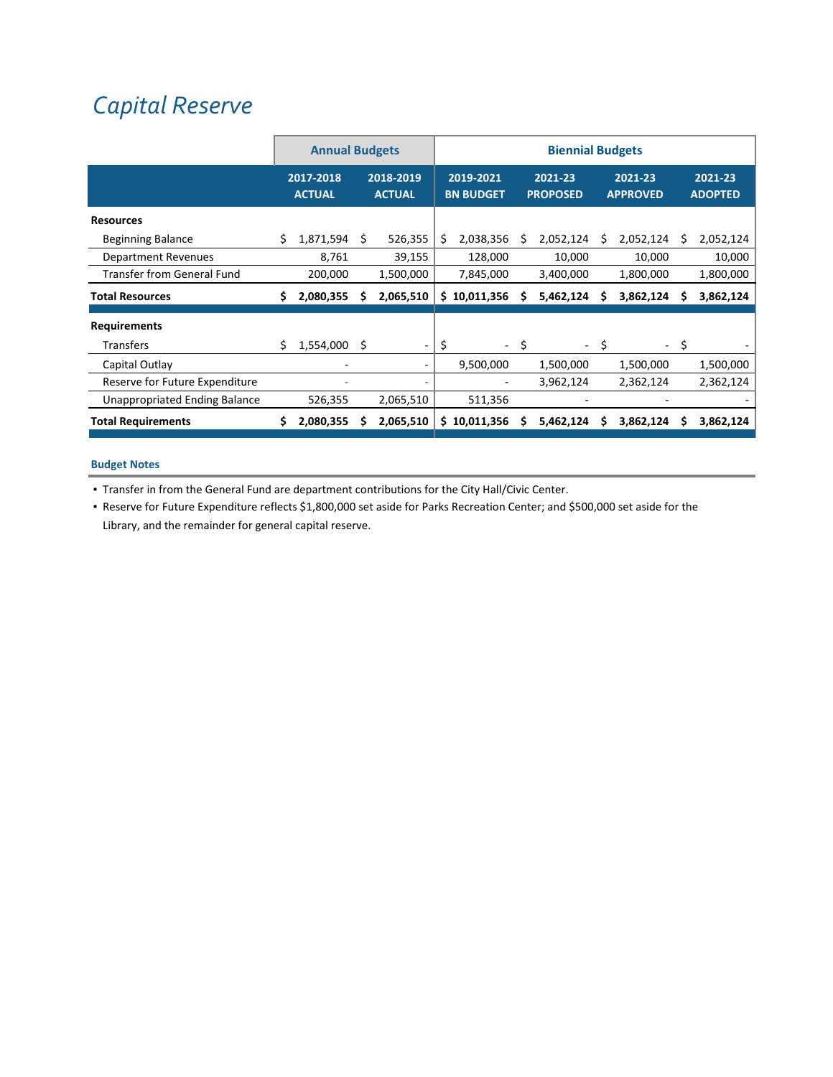# *Capital Reserve*

|                                      |    | <b>Annual Budgets</b>      |    |                            | <b>Biennial Budgets</b> |                               |      |                            |      |                            |      |                           |
|--------------------------------------|----|----------------------------|----|----------------------------|-------------------------|-------------------------------|------|----------------------------|------|----------------------------|------|---------------------------|
|                                      |    | 2017-2018<br><b>ACTUAL</b> |    | 2018-2019<br><b>ACTUAL</b> |                         | 2019-2021<br><b>BN BUDGET</b> |      | 2021-23<br><b>PROPOSED</b> |      | 2021-23<br><b>APPROVED</b> |      | 2021-23<br><b>ADOPTED</b> |
| <b>Resources</b>                     |    |                            |    |                            |                         |                               |      |                            |      |                            |      |                           |
| <b>Beginning Balance</b>             | S  | 1,871,594                  | S  | 526,355                    | Ś                       | 2,038,356                     |      | 2,052,124                  | S    | 2,052,124                  | S    | 2,052,124                 |
| <b>Department Revenues</b>           |    | 8,761                      |    | 39,155                     |                         | 128,000                       |      | 10,000                     |      | 10,000                     |      | 10,000                    |
| Transfer from General Fund           |    | 200,000                    |    | 1,500,000                  |                         | 7,845,000                     |      | 3,400,000                  |      | 1,800,000                  |      | 1,800,000                 |
| <b>Total Resources</b>               | \$ | 2,080,355                  | s  | 2,065,510                  |                         | \$10,011,356                  | s    | 5,462,124                  | s    | 3,862,124                  | s    | 3,862,124                 |
| <b>Requirements</b>                  |    |                            |    |                            |                         |                               |      |                            |      |                            |      |                           |
| <b>Transfers</b>                     | Ś  | 1,554,000                  | \$ | -                          | \$                      |                               | - \$ |                            | - \$ |                            | - \$ |                           |
| Capital Outlay                       |    |                            |    |                            |                         | 9,500,000                     |      | 1,500,000                  |      | 1,500,000                  |      | 1,500,000                 |
| Reserve for Future Expenditure       |    |                            |    |                            |                         |                               |      | 3,962,124                  |      | 2,362,124                  |      | 2,362,124                 |
| <b>Unappropriated Ending Balance</b> |    | 526,355                    |    | 2,065,510                  |                         | 511,356                       |      |                            |      |                            |      |                           |
| <b>Total Requirements</b>            |    | 2,080,355                  |    | 2,065,510                  | S.                      | 10,011,356                    |      | 5,462,124                  |      | 3,862,124                  |      | 3,862,124                 |

### **Budget Notes**

▪ Transfer in from the General Fund are department contributions for the City Hall/Civic Center.

▪ Reserve for Future Expenditure reflects \$1,800,000 set aside for Parks Recreation Center; and \$500,000 set aside for the Library, and the remainder for general capital reserve.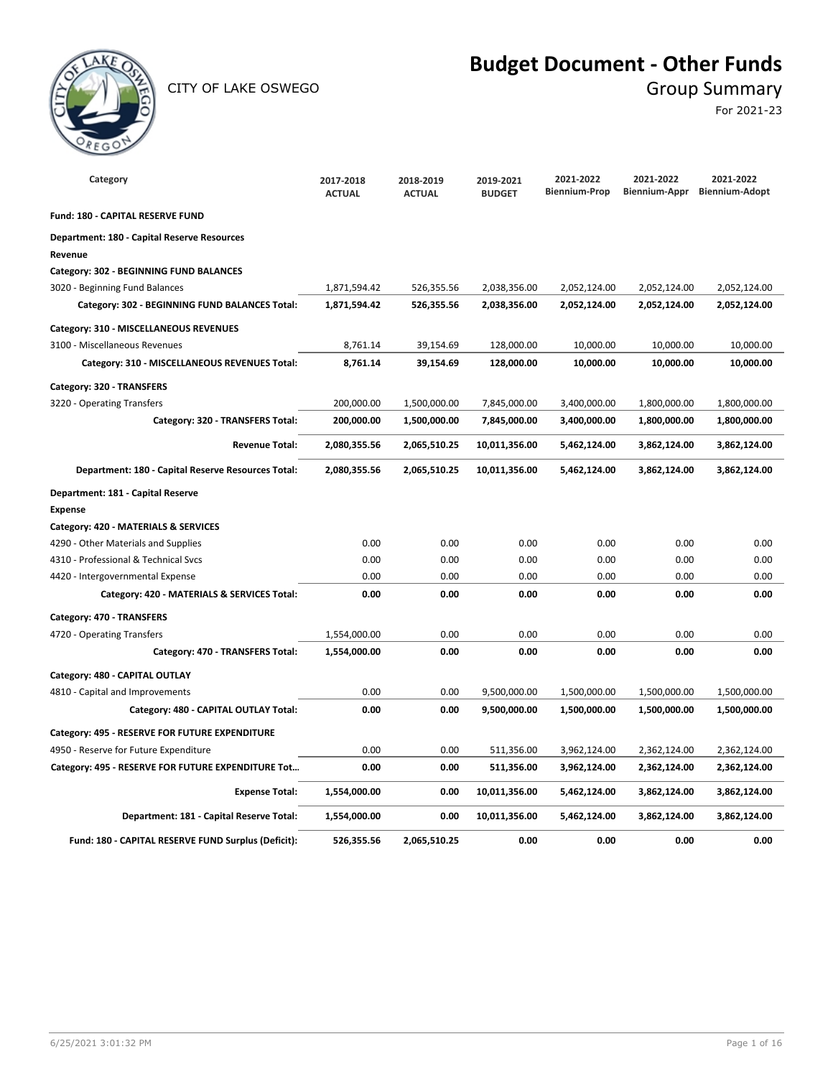

CITY OF LAKE OSWEGO GROUP SUMMARY

## **Budget Document - Other Funds**

For 2021-23

| Category                                                      | 2017-2018<br><b>ACTUAL</b> | 2018-2019<br><b>ACTUAL</b> | 2019-2021<br><b>BUDGET</b> | 2021-2022<br><b>Biennium-Prop</b> | 2021-2022<br><b>Biennium-Appr</b> | 2021-2022<br><b>Biennium-Adopt</b> |
|---------------------------------------------------------------|----------------------------|----------------------------|----------------------------|-----------------------------------|-----------------------------------|------------------------------------|
| Fund: 180 - CAPITAL RESERVE FUND                              |                            |                            |                            |                                   |                                   |                                    |
| <b>Department: 180 - Capital Reserve Resources</b><br>Revenue |                            |                            |                            |                                   |                                   |                                    |
| Category: 302 - BEGINNING FUND BALANCES                       |                            |                            |                            |                                   |                                   |                                    |
| 3020 - Beginning Fund Balances                                | 1,871,594.42               | 526,355.56                 | 2,038,356.00               | 2,052,124.00                      | 2,052,124.00                      | 2,052,124.00                       |
| Category: 302 - BEGINNING FUND BALANCES Total:                | 1,871,594.42               | 526,355.56                 | 2,038,356.00               | 2,052,124.00                      | 2,052,124.00                      | 2,052,124.00                       |
| Category: 310 - MISCELLANEOUS REVENUES                        |                            |                            |                            |                                   |                                   |                                    |
| 3100 - Miscellaneous Revenues                                 | 8,761.14                   | 39,154.69                  | 128,000.00                 | 10,000.00                         | 10,000.00                         | 10,000.00                          |
| Category: 310 - MISCELLANEOUS REVENUES Total:                 | 8,761.14                   | 39,154.69                  | 128,000.00                 | 10,000.00                         | 10,000.00                         | 10,000.00                          |
| Category: 320 - TRANSFERS                                     |                            |                            |                            |                                   |                                   |                                    |
| 3220 - Operating Transfers                                    | 200,000.00                 | 1,500,000.00               | 7,845,000.00               | 3,400,000.00                      | 1,800,000.00                      | 1,800,000.00                       |
| Category: 320 - TRANSFERS Total:                              | 200,000.00                 | 1,500,000.00               | 7,845,000.00               | 3,400,000.00                      | 1,800,000.00                      | 1,800,000.00                       |
| <b>Revenue Total:</b>                                         | 2,080,355.56               | 2,065,510.25               | 10,011,356.00              | 5,462,124.00                      | 3,862,124.00                      | 3,862,124.00                       |
| Department: 180 - Capital Reserve Resources Total:            | 2,080,355.56               | 2,065,510.25               | 10,011,356.00              | 5,462,124.00                      | 3,862,124.00                      | 3,862,124.00                       |
| Department: 181 - Capital Reserve                             |                            |                            |                            |                                   |                                   |                                    |
| <b>Expense</b>                                                |                            |                            |                            |                                   |                                   |                                    |
| Category: 420 - MATERIALS & SERVICES                          |                            |                            |                            |                                   |                                   |                                    |
| 4290 - Other Materials and Supplies                           | 0.00                       | 0.00                       | 0.00                       | 0.00                              | 0.00                              | 0.00                               |
| 4310 - Professional & Technical Svcs                          | 0.00                       | 0.00                       | 0.00                       | 0.00                              | 0.00                              | 0.00                               |
| 4420 - Intergovernmental Expense                              | 0.00                       | 0.00                       | 0.00                       | 0.00                              | 0.00                              | 0.00                               |
| Category: 420 - MATERIALS & SERVICES Total:                   | 0.00                       | 0.00                       | 0.00                       | 0.00                              | 0.00                              | 0.00                               |
| Category: 470 - TRANSFERS                                     |                            |                            |                            |                                   |                                   |                                    |
| 4720 - Operating Transfers                                    | 1,554,000.00               | 0.00                       | 0.00                       | 0.00                              | 0.00                              | 0.00                               |
| Category: 470 - TRANSFERS Total:                              | 1,554,000.00               | 0.00                       | 0.00                       | 0.00                              | 0.00                              | 0.00                               |
| Category: 480 - CAPITAL OUTLAY                                |                            |                            |                            |                                   |                                   |                                    |
| 4810 - Capital and Improvements                               | 0.00                       | 0.00                       | 9,500,000.00               | 1,500,000.00                      | 1,500,000.00                      | 1,500,000.00                       |
| Category: 480 - CAPITAL OUTLAY Total:                         | 0.00                       | 0.00                       | 9,500,000.00               | 1,500,000.00                      | 1,500,000.00                      | 1,500,000.00                       |
| Category: 495 - RESERVE FOR FUTURE EXPENDITURE                |                            |                            |                            |                                   |                                   |                                    |
| 4950 - Reserve for Future Expenditure                         | 0.00                       | 0.00                       | 511,356.00                 | 3,962,124.00                      | 2,362,124.00                      | 2,362,124.00                       |
| Category: 495 - RESERVE FOR FUTURE EXPENDITURE Tot            | 0.00                       | 0.00                       | 511,356.00                 | 3,962,124.00                      | 2,362,124.00                      | 2,362,124.00                       |
| <b>Expense Total:</b>                                         | 1,554,000.00               | 0.00                       | 10,011,356.00              | 5,462,124.00                      | 3,862,124.00                      | 3,862,124.00                       |
| Department: 181 - Capital Reserve Total:                      | 1,554,000.00               | 0.00                       | 10,011,356.00              | 5,462,124.00                      | 3,862,124.00                      | 3,862,124.00                       |
| Fund: 180 - CAPITAL RESERVE FUND Surplus (Deficit):           | 526,355.56                 | 2,065,510.25               | 0.00                       | 0.00                              | 0.00                              | 0.00                               |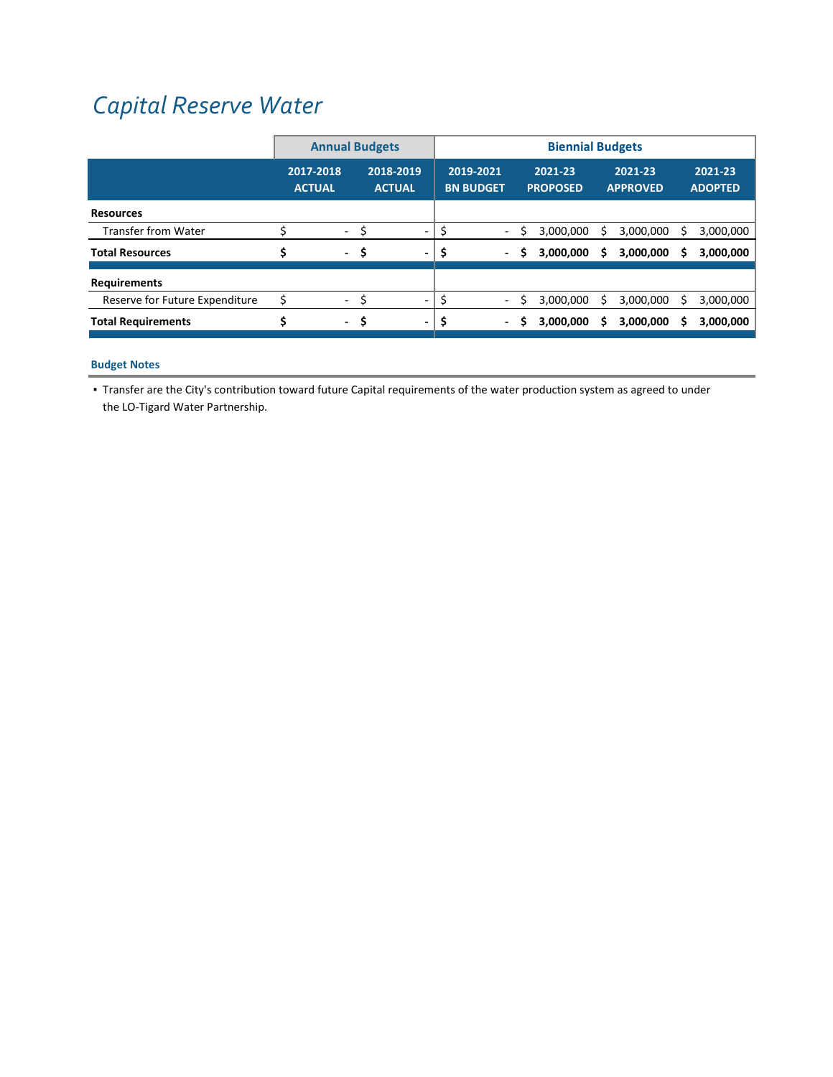# *Capital [Reserve](https://www.lotigardwater.org/) Water*

|                                |                            | <b>Annual Budgets</b>    |     |                            |  |                               | <b>Biennial Budgets</b>  |   |                            |   |                            |   |                           |  |  |
|--------------------------------|----------------------------|--------------------------|-----|----------------------------|--|-------------------------------|--------------------------|---|----------------------------|---|----------------------------|---|---------------------------|--|--|
|                                | 2017-2018<br><b>ACTUAL</b> |                          |     | 2018-2019<br><b>ACTUAL</b> |  | 2019-2021<br><b>BN BUDGET</b> |                          |   | 2021-23<br><b>PROPOSED</b> |   | 2021-23<br><b>APPROVED</b> |   | 2021-23<br><b>ADOPTED</b> |  |  |
| <b>Resources</b>               |                            |                          |     |                            |  |                               |                          |   |                            |   |                            |   |                           |  |  |
| <b>Transfer from Water</b>     |                            | $\overline{\phantom{a}}$ | \$  |                            |  |                               | $\blacksquare$           |   | 3,000,000                  |   | 3,000,000                  |   | 3,000,000                 |  |  |
| <b>Total Resources</b>         |                            | $\sim$                   | .\$ | $\overline{\phantom{0}}$   |  |                               | $\sim$                   | S | 3,000,000                  | s | 3,000,000                  | s | 3,000,000                 |  |  |
| <b>Requirements</b>            |                            |                          |     |                            |  |                               |                          |   |                            |   |                            |   |                           |  |  |
| Reserve for Future Expenditure |                            | $\overline{\phantom{a}}$ |     |                            |  |                               | $\sim$                   |   | 3,000,000                  |   | 3,000,000                  |   | 3,000,000                 |  |  |
| <b>Total Requirements</b>      |                            | $\sim$                   | -S  |                            |  |                               | $\overline{\phantom{a}}$ | S | 3,000,000                  |   | 3,000,000                  |   | 3,000,000                 |  |  |

### **Budget Notes**

▪ Transfer are the City's contribution toward future Capital requirements of the water production system as agreed to under the LO‐Tigard Water Partnership.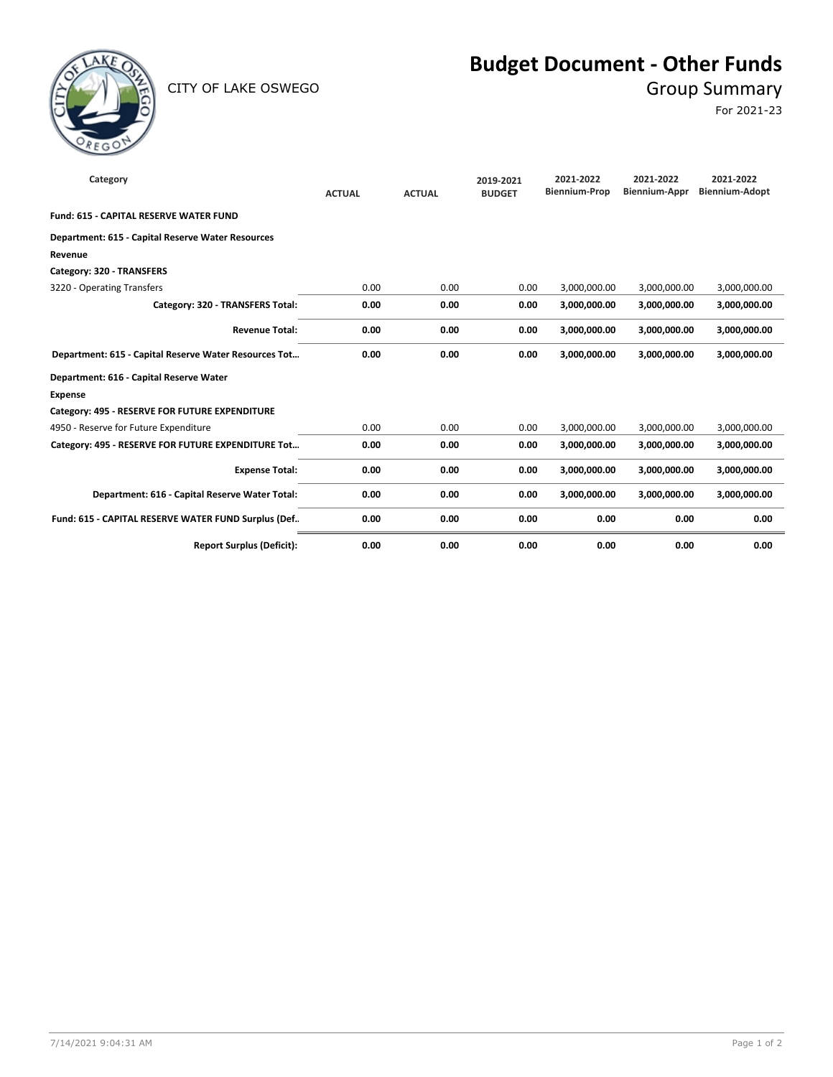

CITY OF LAKE OSWEGO GROUP SUMMARY

## **Budget Document - Other Funds**

For 2021-23

| Category                                              | <b>ACTUAL</b> | <b>ACTUAL</b> | 2019-2021<br><b>BUDGET</b> | 2021-2022<br><b>Biennium-Prop</b> | 2021-2022<br><b>Biennium-Appr</b> | 2021-2022<br><b>Biennium-Adopt</b> |
|-------------------------------------------------------|---------------|---------------|----------------------------|-----------------------------------|-----------------------------------|------------------------------------|
| <b>Fund: 615 - CAPITAL RESERVE WATER FUND</b>         |               |               |                            |                                   |                                   |                                    |
| Department: 615 - Capital Reserve Water Resources     |               |               |                            |                                   |                                   |                                    |
| Revenue                                               |               |               |                            |                                   |                                   |                                    |
| Category: 320 - TRANSFERS                             |               |               |                            |                                   |                                   |                                    |
| 3220 - Operating Transfers                            | 0.00          | 0.00          | 0.00                       | 3,000,000.00                      | 3,000,000.00                      | 3,000,000.00                       |
| Category: 320 - TRANSFERS Total:                      | 0.00          | 0.00          | 0.00                       | 3,000,000.00                      | 3,000,000.00                      | 3,000,000.00                       |
| <b>Revenue Total:</b>                                 | 0.00          | 0.00          | 0.00                       | 3,000,000.00                      | 3,000,000.00                      | 3,000,000.00                       |
| Department: 615 - Capital Reserve Water Resources Tot | 0.00          | 0.00          | 0.00                       | 3,000,000.00                      | 3.000.000.00                      | 3,000,000.00                       |
| Department: 616 - Capital Reserve Water               |               |               |                            |                                   |                                   |                                    |
| <b>Expense</b>                                        |               |               |                            |                                   |                                   |                                    |
| Category: 495 - RESERVE FOR FUTURE EXPENDITURE        |               |               |                            |                                   |                                   |                                    |
| 4950 - Reserve for Future Expenditure                 | 0.00          | 0.00          | 0.00                       | 3,000,000.00                      | 3,000,000.00                      | 3,000,000.00                       |
| Category: 495 - RESERVE FOR FUTURE EXPENDITURE Tot    | 0.00          | 0.00          | 0.00                       | 3,000,000.00                      | 3,000,000.00                      | 3,000,000.00                       |
| <b>Expense Total:</b>                                 | 0.00          | 0.00          | 0.00                       | 3,000,000.00                      | 3,000,000.00                      | 3,000,000.00                       |
| Department: 616 - Capital Reserve Water Total:        | 0.00          | 0.00          | 0.00                       | 3,000,000.00                      | 3,000,000.00                      | 3,000,000.00                       |
| Fund: 615 - CAPITAL RESERVE WATER FUND Surplus (Def   | 0.00          | 0.00          | 0.00                       | 0.00                              | 0.00                              | 0.00                               |
| <b>Report Surplus (Deficit):</b>                      | 0.00          | 0.00          | 0.00                       | 0.00                              | 0.00                              | 0.00                               |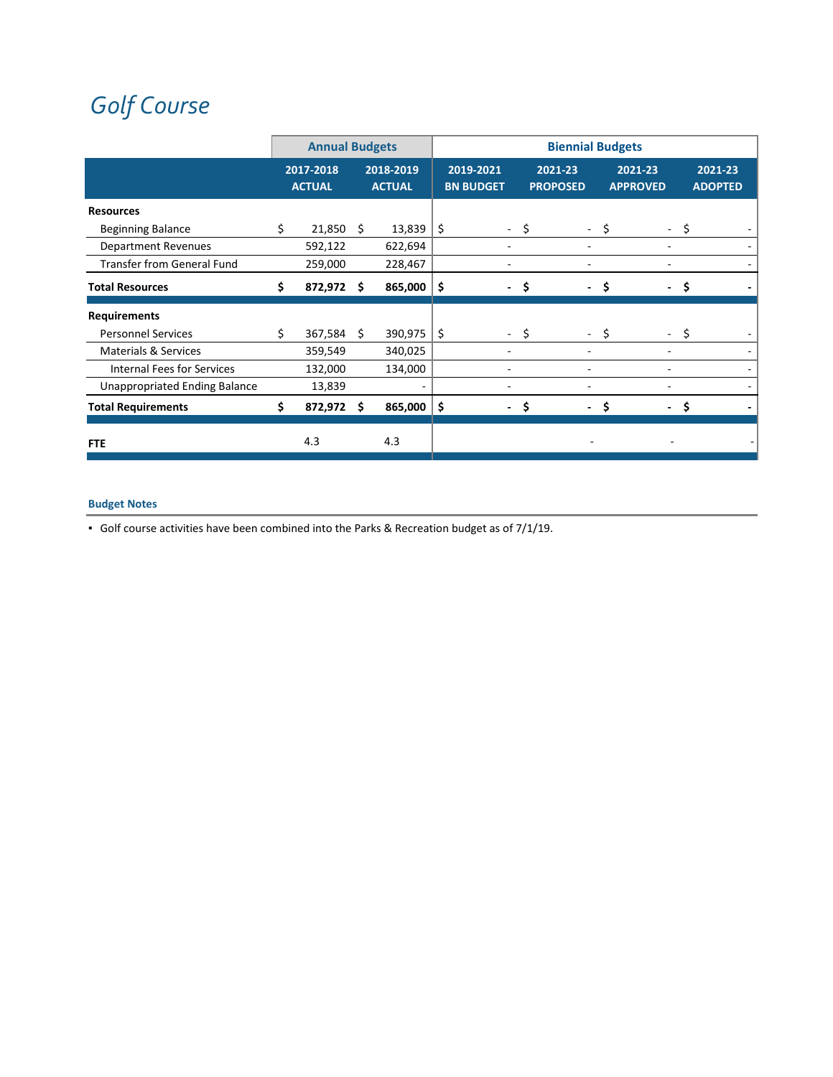# *Golf [Course](https://www.lakeoswegogolf.org/)*

|                                      |    | <b>Annual Budgets</b>      |    |                            |     |                               |                            | <b>Biennial Budgets</b> |                            |    |                           |
|--------------------------------------|----|----------------------------|----|----------------------------|-----|-------------------------------|----------------------------|-------------------------|----------------------------|----|---------------------------|
|                                      |    | 2017-2018<br><b>ACTUAL</b> |    | 2018-2019<br><b>ACTUAL</b> |     | 2019-2021<br><b>BN BUDGET</b> | 2021-23<br><b>PROPOSED</b> |                         | 2021-23<br><b>APPROVED</b> |    | 2021-23<br><b>ADOPTED</b> |
| <b>Resources</b>                     |    |                            |    |                            |     |                               |                            |                         |                            |    |                           |
| <b>Beginning Balance</b>             | \$ | 21,850                     | Ŝ. | 13,839                     | \$  | $\overline{\phantom{0}}$      | \$<br>$\sim$               | \$                      | $\sim$                     | \$ |                           |
| <b>Department Revenues</b>           |    | 592,122                    |    | 622,694                    |     |                               |                            |                         |                            |    |                           |
| <b>Transfer from General Fund</b>    |    | 259,000                    |    | 228,467                    |     |                               |                            |                         |                            |    |                           |
| <b>Total Resources</b>               |    | 872,972                    | s. | 865,000                    | \$  | $\overline{\phantom{a}}$      | \$                         | Ŝ                       |                            | Ŝ  |                           |
| <b>Requirements</b>                  |    |                            |    |                            |     |                               |                            |                         |                            |    |                           |
| <b>Personnel Services</b>            | Ś. | 367,584                    | -S | 390,975                    | -\$ | $\overline{\phantom{0}}$      | \$                         | - \$                    |                            | S  |                           |
| <b>Materials &amp; Services</b>      |    | 359,549                    |    | 340,025                    |     |                               |                            |                         |                            |    |                           |
| Internal Fees for Services           |    | 132,000                    |    | 134,000                    |     |                               |                            |                         |                            |    |                           |
| <b>Unappropriated Ending Balance</b> |    | 13,839                     |    |                            |     |                               |                            |                         |                            |    |                           |
| <b>Total Requirements</b>            | Ś. | 872,972 \$                 |    | 865,000                    | \$  | ۰                             | \$                         | Ŝ                       |                            | Ŝ. |                           |
| <b>FTE</b>                           |    | 4.3                        |    | 4.3                        |     |                               |                            |                         |                            |    |                           |

## **Budget Notes**

▪ Golf course activities have been combined into the Parks & Recreation budget as of 7/1/19.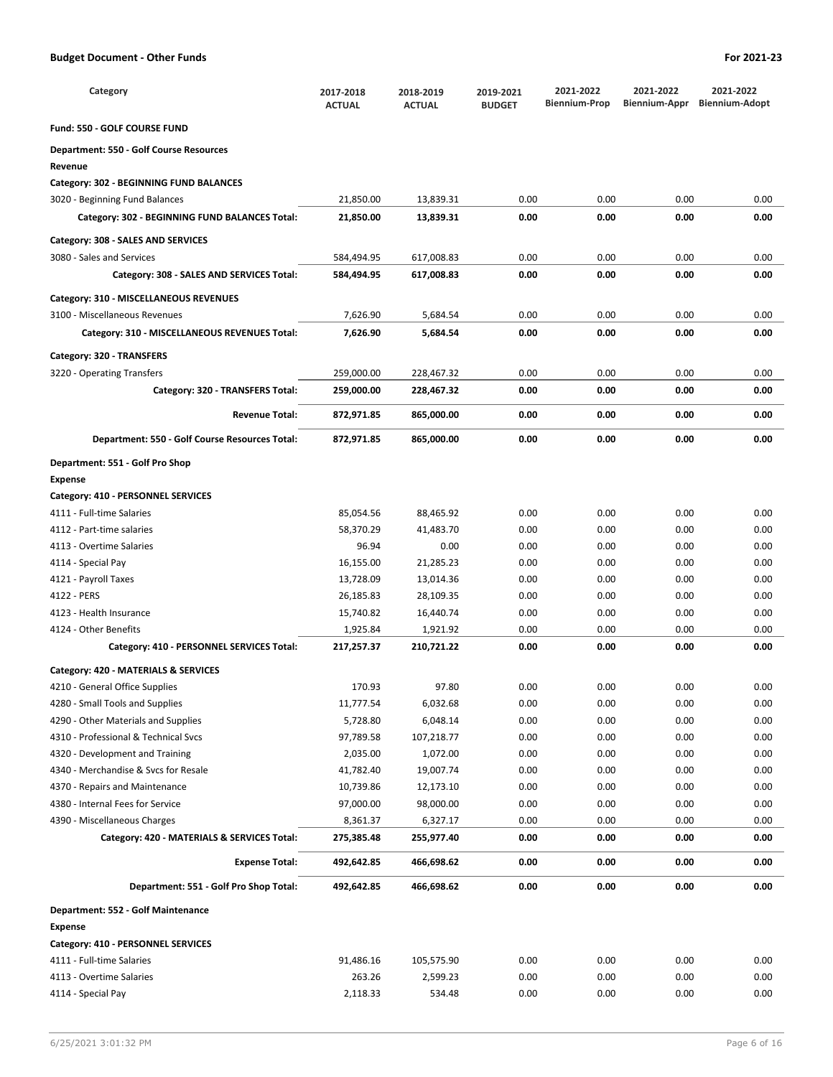| Category                                       | 2017-2018<br><b>ACTUAL</b> | 2018-2019<br><b>ACTUAL</b> | 2019-2021<br><b>BUDGET</b> | 2021-2022<br><b>Biennium-Prop</b> | 2021-2022<br>Biennium-Appr | 2021-2022<br><b>Biennium-Adopt</b> |
|------------------------------------------------|----------------------------|----------------------------|----------------------------|-----------------------------------|----------------------------|------------------------------------|
| Fund: 550 - GOLF COURSE FUND                   |                            |                            |                            |                                   |                            |                                    |
| <b>Department: 550 - Golf Course Resources</b> |                            |                            |                            |                                   |                            |                                    |
| Revenue                                        |                            |                            |                            |                                   |                            |                                    |
| Category: 302 - BEGINNING FUND BALANCES        |                            |                            |                            |                                   |                            |                                    |
| 3020 - Beginning Fund Balances                 | 21,850.00                  | 13,839.31                  | 0.00                       | 0.00                              | 0.00                       | 0.00                               |
| Category: 302 - BEGINNING FUND BALANCES Total: | 21,850.00                  | 13,839.31                  | 0.00                       | 0.00                              | 0.00                       | 0.00                               |
| Category: 308 - SALES AND SERVICES             |                            |                            |                            |                                   |                            |                                    |
| 3080 - Sales and Services                      | 584,494.95                 | 617,008.83                 | 0.00                       | 0.00                              | 0.00                       | 0.00                               |
| Category: 308 - SALES AND SERVICES Total:      | 584,494.95                 | 617,008.83                 | 0.00                       | 0.00                              | 0.00                       | 0.00                               |
| Category: 310 - MISCELLANEOUS REVENUES         |                            |                            |                            |                                   |                            |                                    |
| 3100 - Miscellaneous Revenues                  | 7,626.90                   | 5,684.54                   | 0.00                       | 0.00                              | 0.00                       | 0.00                               |
|                                                |                            |                            |                            |                                   |                            |                                    |
| Category: 310 - MISCELLANEOUS REVENUES Total:  | 7,626.90                   | 5,684.54                   | 0.00                       | 0.00                              | 0.00                       | 0.00                               |
| Category: 320 - TRANSFERS                      |                            |                            |                            |                                   |                            |                                    |
| 3220 - Operating Transfers                     | 259,000.00                 | 228,467.32                 | 0.00                       | 0.00                              | 0.00                       | 0.00                               |
| Category: 320 - TRANSFERS Total:               | 259,000.00                 | 228,467.32                 | 0.00                       | 0.00                              | 0.00                       | 0.00                               |
| <b>Revenue Total:</b>                          | 872,971.85                 | 865,000.00                 | 0.00                       | 0.00                              | 0.00                       | 0.00                               |
| Department: 550 - Golf Course Resources Total: | 872,971.85                 | 865,000.00                 | 0.00                       | 0.00                              | 0.00                       | 0.00                               |
| Department: 551 - Golf Pro Shop                |                            |                            |                            |                                   |                            |                                    |
| <b>Expense</b>                                 |                            |                            |                            |                                   |                            |                                    |
| Category: 410 - PERSONNEL SERVICES             |                            |                            |                            |                                   |                            |                                    |
| 4111 - Full-time Salaries                      | 85,054.56                  | 88,465.92                  | 0.00                       | 0.00                              | 0.00                       | 0.00                               |
| 4112 - Part-time salaries                      | 58,370.29                  | 41,483.70                  | 0.00                       | 0.00                              | 0.00                       | 0.00                               |
| 4113 - Overtime Salaries                       | 96.94                      | 0.00                       | 0.00                       | 0.00                              | 0.00                       | 0.00                               |
| 4114 - Special Pay                             | 16,155.00                  | 21,285.23                  | 0.00                       | 0.00                              | 0.00                       | 0.00                               |
| 4121 - Payroll Taxes                           | 13,728.09                  | 13,014.36                  | 0.00                       | 0.00                              | 0.00                       | 0.00                               |
| 4122 - PERS                                    | 26,185.83                  | 28,109.35                  | 0.00                       | 0.00                              | 0.00                       | 0.00                               |
| 4123 - Health Insurance                        | 15,740.82                  | 16,440.74                  | 0.00                       | 0.00                              | 0.00                       | 0.00                               |
| 4124 - Other Benefits                          | 1,925.84                   | 1,921.92                   | 0.00                       | 0.00                              | 0.00                       | 0.00                               |
| Category: 410 - PERSONNEL SERVICES Total:      | 217,257.37                 | 210,721.22                 | 0.00                       | 0.00                              | 0.00                       | 0.00                               |
| Category: 420 - MATERIALS & SERVICES           |                            |                            |                            |                                   |                            |                                    |
| 4210 - General Office Supplies                 | 170.93                     | 97.80                      | 0.00                       | 0.00                              | 0.00                       | 0.00                               |
| 4280 - Small Tools and Supplies                | 11,777.54                  | 6,032.68                   | 0.00                       | 0.00                              | 0.00                       | 0.00                               |
| 4290 - Other Materials and Supplies            | 5,728.80                   | 6,048.14                   | 0.00                       | 0.00                              | 0.00                       | 0.00                               |
| 4310 - Professional & Technical Svcs           | 97,789.58                  | 107,218.77                 | 0.00                       | 0.00                              | 0.00                       | 0.00                               |
| 4320 - Development and Training                | 2,035.00                   | 1,072.00                   | 0.00                       | 0.00                              | 0.00                       | 0.00                               |
| 4340 - Merchandise & Svcs for Resale           | 41,782.40                  | 19,007.74                  | 0.00                       | 0.00                              | 0.00                       | 0.00                               |
| 4370 - Repairs and Maintenance                 | 10,739.86                  | 12,173.10                  | 0.00                       | 0.00                              | 0.00                       | 0.00                               |
| 4380 - Internal Fees for Service               | 97,000.00                  | 98,000.00                  | 0.00                       | 0.00                              | 0.00                       | 0.00                               |
| 4390 - Miscellaneous Charges                   | 8,361.37                   | 6,327.17                   | 0.00                       | 0.00                              | 0.00                       | 0.00                               |
|                                                |                            | 255,977.40                 | 0.00                       | 0.00                              | 0.00                       | 0.00                               |
| Category: 420 - MATERIALS & SERVICES Total:    | 275,385.48                 |                            |                            |                                   |                            |                                    |
| <b>Expense Total:</b>                          | 492,642.85                 | 466,698.62                 | 0.00                       | 0.00                              | 0.00                       | 0.00                               |
| Department: 551 - Golf Pro Shop Total:         | 492,642.85                 | 466,698.62                 | 0.00                       | 0.00                              | 0.00                       | 0.00                               |
| Department: 552 - Golf Maintenance             |                            |                            |                            |                                   |                            |                                    |
| <b>Expense</b>                                 |                            |                            |                            |                                   |                            |                                    |
| Category: 410 - PERSONNEL SERVICES             |                            |                            |                            |                                   |                            |                                    |
| 4111 - Full-time Salaries                      | 91,486.16                  | 105,575.90                 | 0.00                       | 0.00                              | 0.00                       | 0.00                               |
| 4113 - Overtime Salaries                       | 263.26                     | 2,599.23                   | 0.00                       | 0.00                              | 0.00                       | 0.00                               |

4114 - Special Pay **114 - Special Pay 2**,118.33 534.48 0.00 0.00 0.00 0.00 0.00